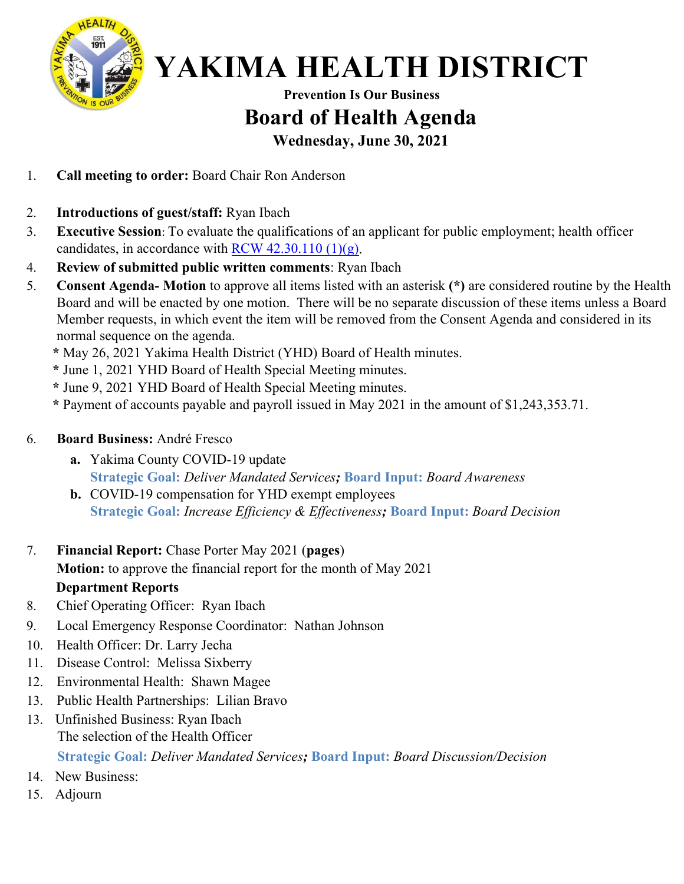

#### **Prevention Is Our Business Board of Health Agenda Wednesday, June 30, 2021**

- 1. **Call meeting to order:** Board Chair Ron Anderson
- 2. **Introductions of guest/staff:** Ryan Ibach
- 3. **Executive Session**: To evaluate the qualifications of an applicant for public employment; health officer candidates, in accordance with RCW  $42.30.110(1)(g)$ .
- 4. **Review of submitted public written comments**: Ryan Ibach
- 5. **Consent Agenda- Motion** to approve all items listed with an asterisk **(\*)** are considered routine by the Health Board and will be enacted by one motion. There will be no separate discussion of these items unless a Board Member requests, in which event the item will be removed from the Consent Agenda and considered in its normal sequence on the agenda.
	- **\*** May 26, 2021 Yakima Health District (YHD) Board of Health minutes.
	- **\*** June 1, 2021 YHD Board of Health Special Meeting minutes.
	- **\*** June 9, 2021 YHD Board of Health Special Meeting minutes.
	- **\*** Payment of accounts payable and payroll issued in May 2021 in the amount of \$1,243,353.71.

#### 6. **Board Business:** André Fresco

- **a.** Yakima County COVID-19 update **Strategic Goal:** *Deliver Mandated Services;* **Board Input:** *Board Awareness*
- **b.** COVID-19 compensation for YHD exempt employees **Strategic Goal:** *Increase Efficiency & Effectiveness;* **Board Input:** *Board Awareness*
- 7. **Financial Report:** Chase Porter May 2021 (**pages**)

**Motion:** to approve the financial report for the month of May 2021

#### **Department Reports**

- 8. Chief Operating Officer: Ryan Ibach
- 9. Local Emergency Response Coordinator: Nathan Johnson
- 10. Health Officer: Dr. Larry Jecha
- 11. Disease Control: Melissa Sixberry
- 12. Environmental Health: Shawn Magee
- 13. Public Health Partnerships: Lilian Bravo
- 13. Unfinished Business: The selection of the Health Officer - Ryan Ibach **Strategic Goal:** *Deliver Mandated Services;* **Board Input:** *Board Discussion/Decision*
- 14. New Business:
- 15. Adjourn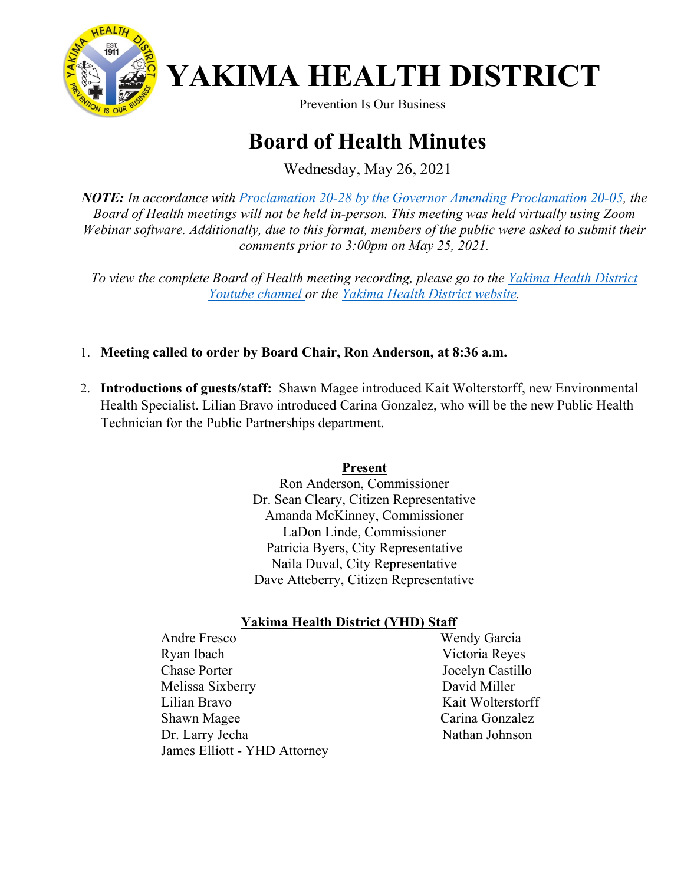

# **YAKIMA HEALTH DISTRICT**<br>Prevention Is Our Business

### **Board of Health Minutes**

Wednesday, May 26, 2021

*NOTE: In accordance with [Proclamation 20-28 by the Governor Amending Proclamation 20-05,](https://www.governor.wa.gov/sites/default/files/proclamations/proc_20-28.13.pdf?utm_medium=email&utm_source=govdelivery) the Board of Health meetings will not be held in-person. This meeting was held virtually using Zoom Webinar software. Additionally, due to this format, members of the public were asked to submit their comments prior to 3:00pm on May 25, 2021.*

*To view the complete Board of Health meeting recording, please go to the [Yakima Health District](https://www.youtube.com/watch?v=kU_szzw_KiQ)  [Youtube channel o](https://www.youtube.com/watch?v=kU_szzw_KiQ)r the [Yakima Health District website.](https://www.yakimacounty.us/1195/Board-of-Health)*

- 1. **Meeting called to order by Board Chair, Ron Anderson, at 8:36 a.m.**
- 2. **Introductions of guests/staff:** Shawn Magee introduced Kait Wolterstorff, new Environmental Health Specialist. Lilian Bravo introduced Carina Gonzalez, who will be the new Public Health Technician for the Public Partnerships department.

#### **Present**

Ron Anderson, Commissioner Dr. Sean Cleary, Citizen Representative Amanda McKinney, Commissioner LaDon Linde, Commissioner Patricia Byers, City Representative Naila Duval, City Representative Dave Atteberry, Citizen Representative

#### **Yakima Health District (YHD) Staff**

 Andre Fresco Wendy Garcia Ryan Ibach Victoria Reyes Chase Porter Jocelyn Castillo Melissa Sixberry David Miller Lilian Bravo Kait Wolterstorff Shawn Magee Carina Gonzalez Dr. Larry Jecha Nathan Johnson James Elliott - YHD Attorney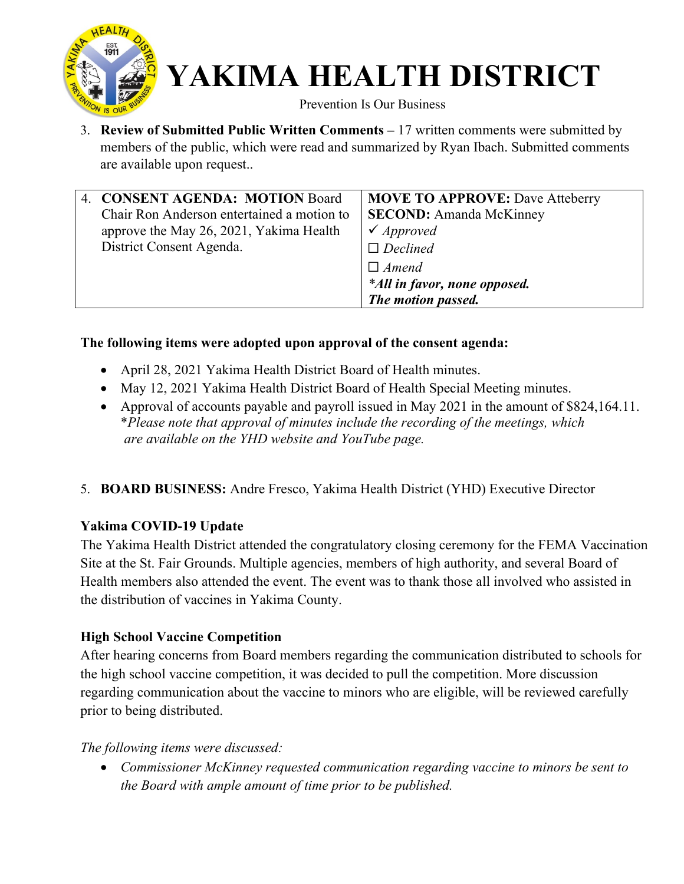

Prevention Is Our Business

3. **Review of Submitted Public Written Comments –** 17 written comments were submitted by members of the public, which were read and summarized by Ryan Ibach. Submitted comments are available upon request..

| 4. CONSENT AGENDA: MOTION Board            | <b>MOVE TO APPROVE: Dave Atteberry</b> |
|--------------------------------------------|----------------------------------------|
| Chair Ron Anderson entertained a motion to | <b>SECOND:</b> Amanda McKinney         |
| approve the May 26, 2021, Yakima Health    | $\checkmark$ Approved                  |
| District Consent Agenda.                   | $\Box$ Declined                        |
|                                            | $\Box$ Amend                           |
|                                            | *All in favor, none opposed.           |
|                                            | The motion passed.                     |

#### **The following items were adopted upon approval of the consent agenda:**

- April 28, 2021 Yakima Health District Board of Health minutes.
- May 12, 2021 Yakima Health District Board of Health Special Meeting minutes.
- Approval of accounts payable and payroll issued in May 2021 in the amount of \$824,164.11. \**Please note that approval of minutes include the recording of the meetings, which are available on the YHD website and YouTube page.*
- 5. **BOARD BUSINESS:** Andre Fresco, Yakima Health District (YHD) Executive Director

#### **Yakima COVID-19 Update**

The Yakima Health District attended the congratulatory closing ceremony for the FEMA Vaccination Site at the St. Fair Grounds. Multiple agencies, members of high authority, and several Board of Health members also attended the event. The event was to thank those all involved who assisted in the distribution of vaccines in Yakima County.

#### **High School Vaccine Competition**

After hearing concerns from Board members regarding the communication distributed to schools for the high school vaccine competition, it was decided to pull the competition. More discussion regarding communication about the vaccine to minors who are eligible, will be reviewed carefully prior to being distributed.

#### *The following items were discussed:*

• *Commissioner McKinney requested communication regarding vaccine to minors be sent to the Board with ample amount of time prior to be published.*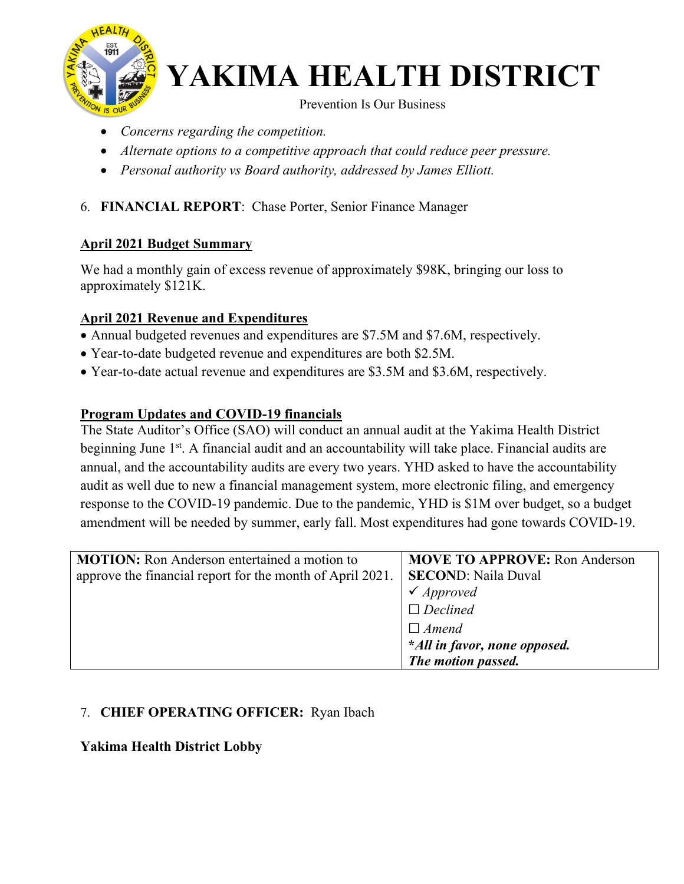

Prevention Is Our Business

- *Concerns regarding the competition.*
- *Alternate options to a competitive approach that could reduce peer pressure.*
- *Personal authority vs Board authority, addressed by James Elliott.*

#### 6. **FINANCIAL REPORT**: Chase Porter, Senior Finance Manager

#### **April 2021 Budget Summary**

We had a monthly gain of excess revenue of approximately \$98K, bringing our loss to approximately \$121K.

#### **April 2021 Revenue and Expenditures**

- Annual budgeted revenues and expenditures are \$7.5M and \$7.6M, respectively.
- Year-to-date budgeted revenue and expenditures are both \$2.5M.
- Year-to-date actual revenue and expenditures are \$3.5M and \$3.6M, respectively.

#### **Program Updates and COVID-19 financials**

The State Auditor's Office (SAO) will conduct an annual audit at the Yakima Health District beginning June  $1<sup>st</sup>$ . A financial audit and an accountability will take place. Financial audits are annual, and the accountability audits are every two years. YHD asked to have the accountability audit as well due to new a financial management system, more electronic filing, and emergency response to the COVID-19 pandemic. Due to the pandemic, YHD is \$1M over budget, so a budget amendment will be needed by summer, early fall. Most expenditures had gone towards COVID-19.

| <b>MOTION:</b> Ron Anderson entertained a motion to       | <b>MOVE TO APPROVE: Ron Anderson</b> |
|-----------------------------------------------------------|--------------------------------------|
| approve the financial report for the month of April 2021. | <b>SECOND: Naila Duval</b>           |
|                                                           | $\checkmark$ Approved                |
|                                                           | $\Box$ Declined                      |
|                                                           | $\Box$ Amend                         |
|                                                           | *All in favor, none opposed.         |
|                                                           | The motion passed.                   |

#### 7. **CHIEF OPERATING OFFICER:** Ryan Ibach

#### **Yakima Health District Lobby**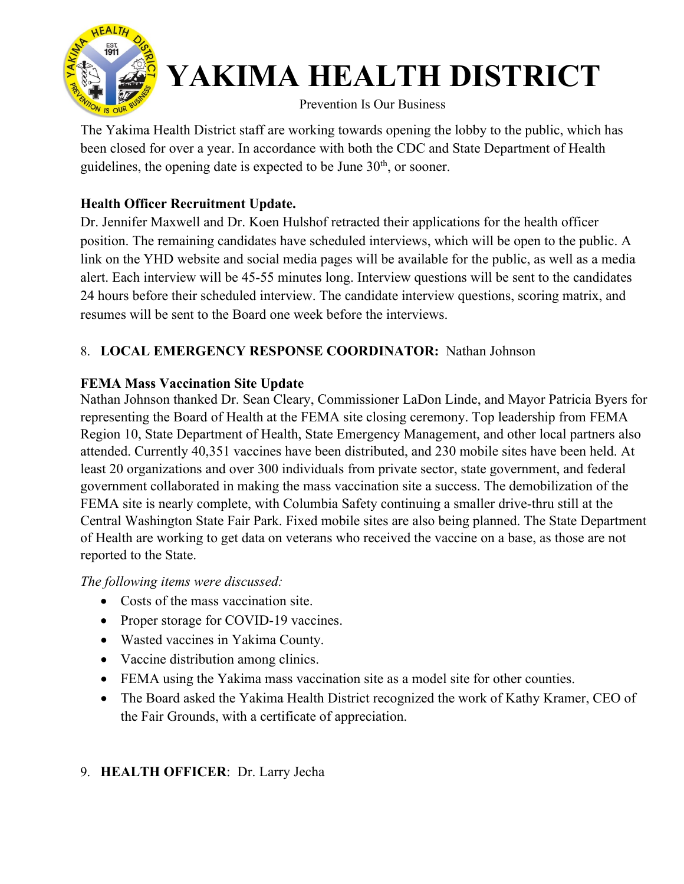

#### Prevention Is Our Business

The Yakima Health District staff are working towards opening the lobby to the public, which has been closed for over a year. In accordance with both the CDC and State Department of Health guidelines, the opening date is expected to be June  $30<sup>th</sup>$ , or sooner.

#### **Health Officer Recruitment Update.**

Dr. Jennifer Maxwell and Dr. Koen Hulshof retracted their applications for the health officer position. The remaining candidates have scheduled interviews, which will be open to the public. A link on the YHD website and social media pages will be available for the public, as well as a media alert. Each interview will be 45-55 minutes long. Interview questions will be sent to the candidates 24 hours before their scheduled interview. The candidate interview questions, scoring matrix, and resumes will be sent to the Board one week before the interviews.

#### 8. **LOCAL EMERGENCY RESPONSE COORDINATOR:** Nathan Johnson

#### **FEMA Mass Vaccination Site Update**

Nathan Johnson thanked Dr. Sean Cleary, Commissioner LaDon Linde, and Mayor Patricia Byers for representing the Board of Health at the FEMA site closing ceremony. Top leadership from FEMA Region 10, State Department of Health, State Emergency Management, and other local partners also attended. Currently 40,351 vaccines have been distributed, and 230 mobile sites have been held. At least 20 organizations and over 300 individuals from private sector, state government, and federal government collaborated in making the mass vaccination site a success. The demobilization of the FEMA site is nearly complete, with Columbia Safety continuing a smaller drive-thru still at the Central Washington State Fair Park. Fixed mobile sites are also being planned. The State Department of Health are working to get data on veterans who received the vaccine on a base, as those are not reported to the State.

#### *The following items were discussed:*

- Costs of the mass vaccination site.
- Proper storage for COVID-19 vaccines.
- Wasted vaccines in Yakima County.
- Vaccine distribution among clinics.
- FEMA using the Yakima mass vaccination site as a model site for other counties.
- The Board asked the Yakima Health District recognized the work of Kathy Kramer, CEO of the Fair Grounds, with a certificate of appreciation.

#### 9. **HEALTH OFFICER**: Dr. Larry Jecha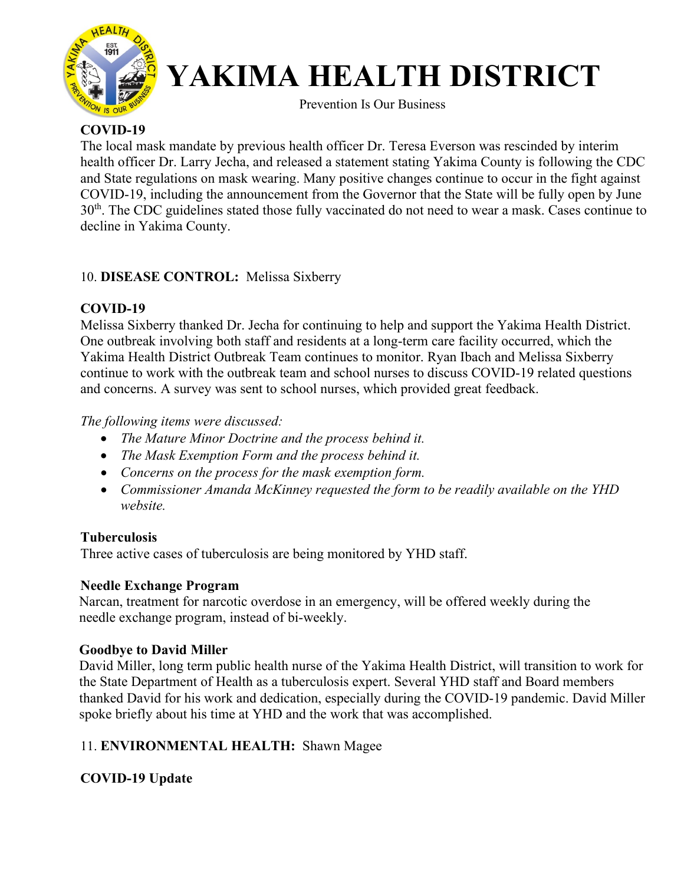

Prevention Is Our Business

#### **COVID-19**

The local mask mandate by previous health officer Dr. Teresa Everson was rescinded by interim health officer Dr. Larry Jecha, and released a statement stating Yakima County is following the CDC and State regulations on mask wearing. Many positive changes continue to occur in the fight against COVID-19, including the announcement from the Governor that the State will be fully open by June 30th. The CDC guidelines stated those fully vaccinated do not need to wear a mask. Cases continue to decline in Yakima County.

#### 10. **DISEASE CONTROL:** Melissa Sixberry

#### **COVID-19**

Melissa Sixberry thanked Dr. Jecha for continuing to help and support the Yakima Health District. One outbreak involving both staff and residents at a long-term care facility occurred, which the Yakima Health District Outbreak Team continues to monitor. Ryan Ibach and Melissa Sixberry continue to work with the outbreak team and school nurses to discuss COVID-19 related questions and concerns. A survey was sent to school nurses, which provided great feedback.

#### *The following items were discussed:*

- *The Mature Minor Doctrine and the process behind it.*
- *The Mask Exemption Form and the process behind it.*
- *Concerns on the process for the mask exemption form.*
- *Commissioner Amanda McKinney requested the form to be readily available on the YHD website.*

#### **Tuberculosis**

Three active cases of tuberculosis are being monitored by YHD staff.

#### **Needle Exchange Program**

 Narcan, treatment for narcotic overdose in an emergency, will be offered weekly during the needle exchange program, instead of bi-weekly.

#### **Goodbye to David Miller**

David Miller, long term public health nurse of the Yakima Health District, will transition to work for the State Department of Health as a tuberculosis expert. Several YHD staff and Board members thanked David for his work and dedication, especially during the COVID-19 pandemic. David Miller spoke briefly about his time at YHD and the work that was accomplished.

#### 11. **ENVIRONMENTAL HEALTH:** Shawn Magee

#### **COVID-19 Update**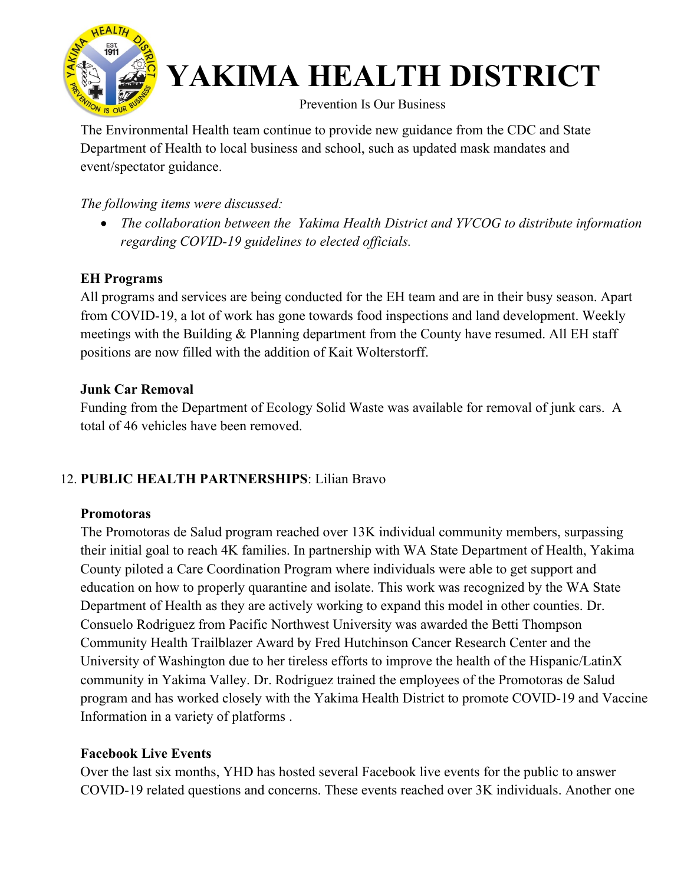

#### Prevention Is Our Business

The Environmental Health team continue to provide new guidance from the CDC and State Department of Health to local business and school, such as updated mask mandates and event/spectator guidance.

#### *The following items were discussed:*

• *The collaboration between the Yakima Health District and YVCOG to distribute information regarding COVID-19 guidelines to elected officials.*

#### **EH Programs**

All programs and services are being conducted for the EH team and are in their busy season. Apart from COVID-19, a lot of work has gone towards food inspections and land development. Weekly meetings with the Building & Planning department from the County have resumed. All EH staff positions are now filled with the addition of Kait Wolterstorff.

#### **Junk Car Removal**

Funding from the Department of Ecology Solid Waste was available for removal of junk cars. A total of 46 vehicles have been removed.

#### 12. **PUBLIC HEALTH PARTNERSHIPS**: Lilian Bravo

#### **Promotoras**

The Promotoras de Salud program reached over 13K individual community members, surpassing their initial goal to reach 4K families. In partnership with WA State Department of Health, Yakima County piloted a Care Coordination Program where individuals were able to get support and education on how to properly quarantine and isolate. This work was recognized by the WA State Department of Health as they are actively working to expand this model in other counties. Dr. Consuelo Rodriguez from Pacific Northwest University was awarded the Betti Thompson Community Health Trailblazer Award by Fred Hutchinson Cancer Research Center and the University of Washington due to her tireless efforts to improve the health of the Hispanic/LatinX community in Yakima Valley. Dr. Rodriguez trained the employees of the Promotoras de Salud program and has worked closely with the Yakima Health District to promote COVID-19 and Vaccine Information in a variety of platforms .

#### **Facebook Live Events**

Over the last six months, YHD has hosted several Facebook live events for the public to answer COVID-19 related questions and concerns. These events reached over 3K individuals. Another one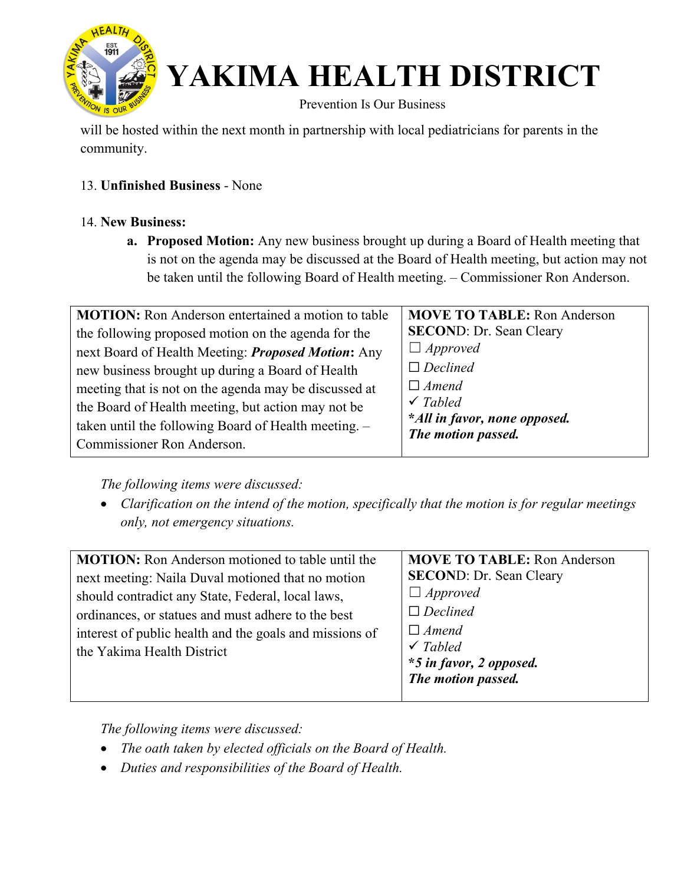

Prevention Is Our Business

will be hosted within the next month in partnership with local pediatricians for parents in the community.

#### 13. **Unfinished Business** - None

#### 14. **New Business:**

**a. Proposed Motion:** Any new business brought up during a Board of Health meeting that is not on the agenda may be discussed at the Board of Health meeting, but action may not be taken until the following Board of Health meeting. – Commissioner Ron Anderson.

| <b>MOVE TO TABLE: Ron Anderson</b> |
|------------------------------------|
| <b>SECOND: Dr. Sean Cleary</b>     |
| $\Box$ Approved                    |
| $\Box$ Declined                    |
| $\Box$ Amend                       |
| $\checkmark$ Tabled                |
| *All in favor, none opposed.       |
| The motion passed.                 |
|                                    |

*The following items were discussed:* 

• *Clarification on the intend of the motion, specifically that the motion is for regular meetings only, not emergency situations.*

*The following items were discussed:* 

- *The oath taken by elected officials on the Board of Health.*
- *Duties and responsibilities of the Board of Health.*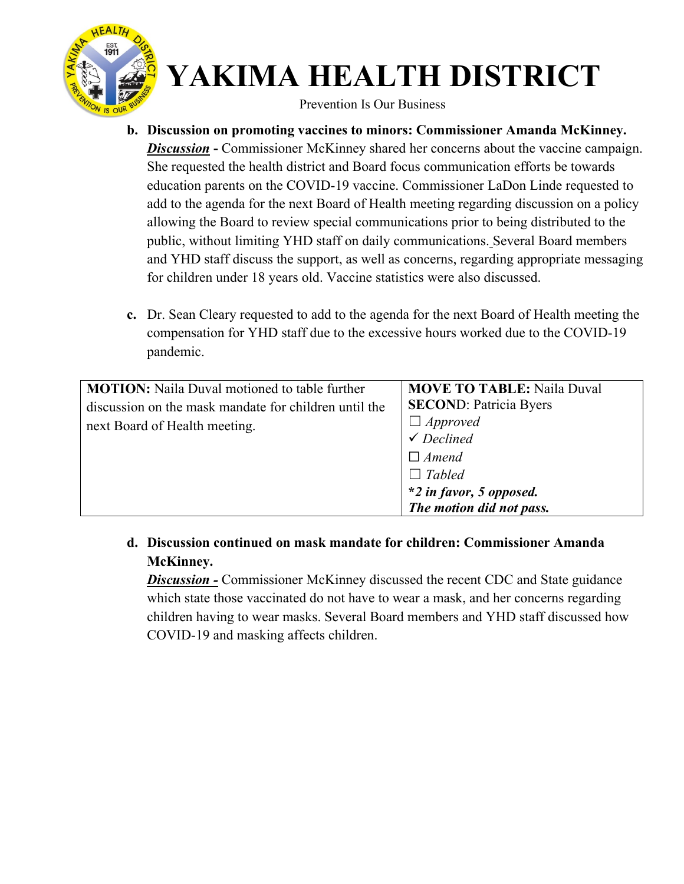

Prevention Is Our Business

- **b. Discussion on promoting vaccines to minors: Commissioner Amanda McKinney. Discussion** - Commissioner McKinney shared her concerns about the vaccine campaign. She requested the health district and Board focus communication efforts be towards education parents on the COVID-19 vaccine. Commissioner LaDon Linde requested to add to the agenda for the next Board of Health meeting regarding discussion on a policy allowing the Board to review special communications prior to being distributed to the public, without limiting YHD staff on daily communications. Several Board members and YHD staff discuss the support, as well as concerns, regarding appropriate messaging for children under 18 years old. Vaccine statistics were also discussed.
- **c.** Dr. Sean Cleary requested to add to the agenda for the next Board of Health meeting the compensation for YHD staff due to the excessive hours worked due to the COVID-19 pandemic.

| <b>MOTION:</b> Naila Duval motioned to table further  | <b>MOVE TO TABLE: Naila Duval</b>        |
|-------------------------------------------------------|------------------------------------------|
| discussion on the mask mandate for children until the | <b>SECOND: Patricia Byers</b>            |
| next Board of Health meeting.                         | $\Box$ Approved<br>$\checkmark$ Declined |
|                                                       |                                          |
|                                                       | $\Box$ Amend                             |
|                                                       | $\Box$ Tabled                            |
|                                                       | *2 in favor, 5 opposed.                  |
|                                                       | The motion did not pass.                 |

**d. Discussion continued on mask mandate for children: Commissioner Amanda McKinney.**

*Discussion -* Commissioner McKinney discussed the recent CDC and State guidance which state those vaccinated do not have to wear a mask, and her concerns regarding children having to wear masks. Several Board members and YHD staff discussed how COVID-19 and masking affects children.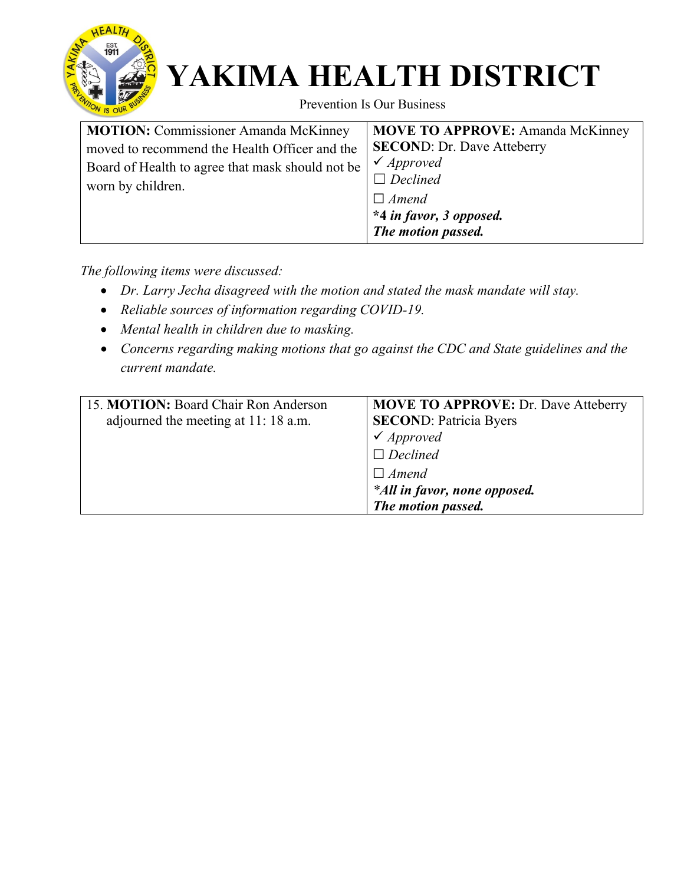

Prevention Is Our Business

| <b>MOTION:</b> Commissioner Amanda McKinney<br><b>MOVE TO APPROVE:</b> Amanda McKinney                                                                                                                                                                                   |  |
|--------------------------------------------------------------------------------------------------------------------------------------------------------------------------------------------------------------------------------------------------------------------------|--|
| <b>SECOND: Dr. Dave Atteberry</b><br>moved to recommend the Health Officer and the<br>$\checkmark$ Approved<br>Board of Health to agree that mask should not be<br>$\Box$ Declined<br>worn by children.<br>$\Box$ Amend<br>*4 in favor, 3 opposed.<br>The motion passed. |  |

*The following items were discussed:* 

- *Dr. Larry Jecha disagreed with the motion and stated the mask mandate will stay.*
- *Reliable sources of information regarding COVID-19.*
- *Mental health in children due to masking.*
- *Concerns regarding making motions that go against the CDC and State guidelines and the current mandate.*

| 15. MOTION: Board Chair Ron Anderson | <b>MOVE TO APPROVE: Dr. Dave Atteberry</b> |
|--------------------------------------|--------------------------------------------|
| adjourned the meeting at 11:18 a.m.  | <b>SECOND: Patricia Byers</b>              |
|                                      | $\checkmark$ Approved                      |
|                                      | $\Box$ Declined                            |
|                                      | $\Box$ Amend                               |
|                                      | *All in favor, none opposed.               |
|                                      | The motion passed.                         |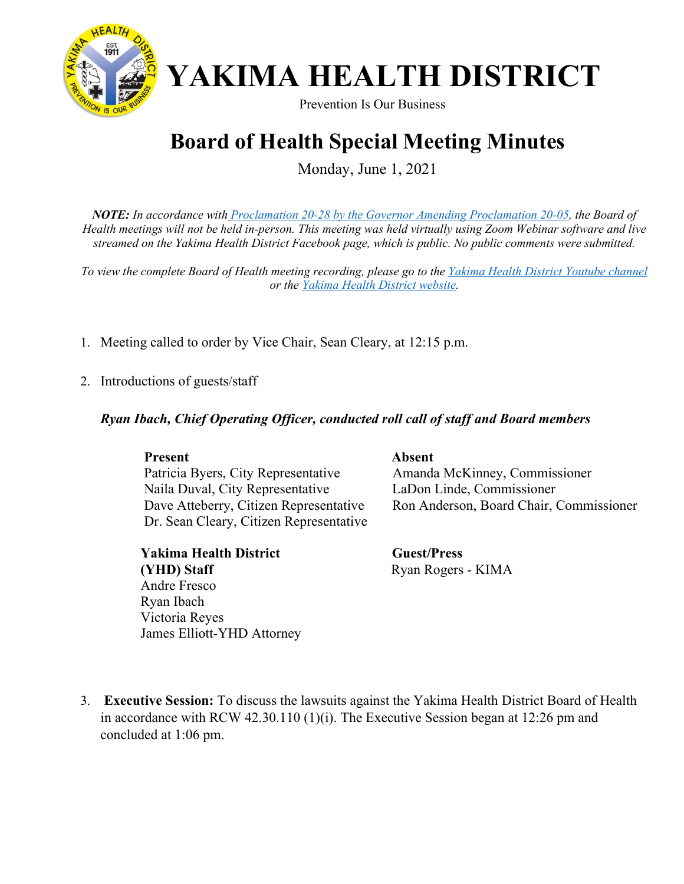

Prevention Is Our Business

### **Board of Health Special Meeting Minutes**

Monday, June 1, 2021

*NOTE: In accordance with [Proclamation 20-28 by the Governor Amending Proclamation 20-05,](https://www.governor.wa.gov/sites/default/files/proclamations/proc_20-28.13.pdf?utm_medium=email&utm_source=govdelivery) the Board of Health meetings will not be held in-person. This meeting was held virtually using Zoom Webinar software and live streamed on the Yakima Health District Facebook page, which is public. No public comments were submitted.*

*To view the complete Board of Health meeting recording, please go to the [Yakima Health District Youtube channel](https://www.youtube.com/watch?v=kU_szzw_KiQ)  or the [Yakima Health District website.](https://www.yakimacounty.us/1195/Board-of-Health)* 

- 1. Meeting called to order by Vice Chair, Sean Cleary, at 12:15 p.m.
- 2. Introductions of guests/staff

#### *Ryan Ibach, Chief Operating Officer, conducted roll call of staff and Board members*

#### Present Absent

Patricia Byers, City Representative Amanda McKinney, Commissioner Naila Duval, City Representative LaDon Linde, Commissioner Dr. Sean Cleary, Citizen Representative

**Yakima Health District Guest/Press (YHD) Staff** Ryan Rogers - KIMA Andre Fresco Ryan Ibach Victoria Reyes James Elliott-YHD Attorney

Dave Atteberry, Citizen Representative Ron Anderson, Board Chair, Commissioner

3. **Executive Session:** To discuss the lawsuits against the Yakima Health District Board of Health in accordance with RCW 42.30.110 (1)(i). The Executive Session began at 12:26 pm and concluded at 1:06 pm.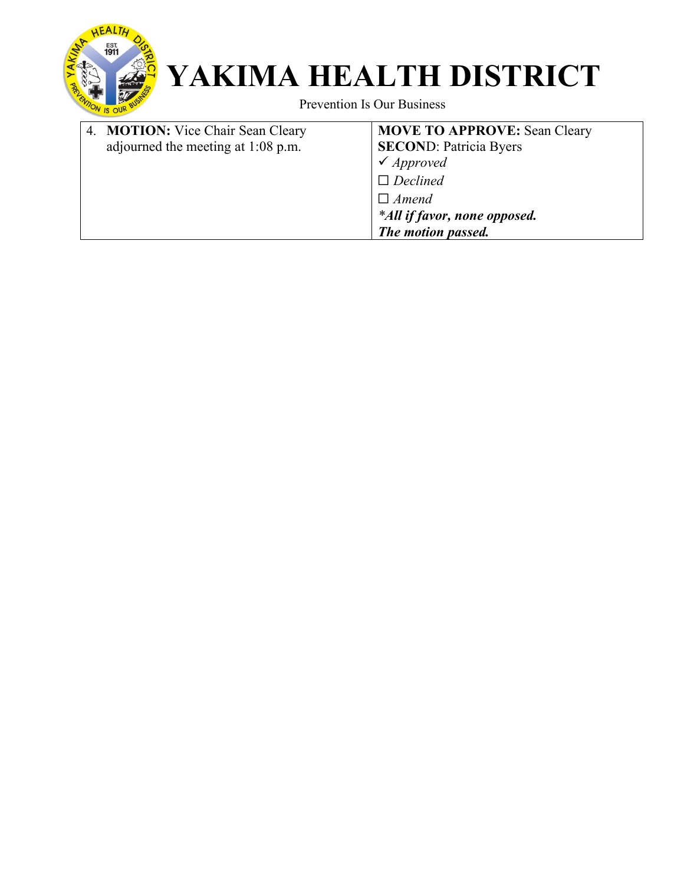

Prevention Is Our Business

| 4. MOTION: Vice Chair Sean Cleary  | <b>MOVE TO APPROVE: Sean Cleary</b> |
|------------------------------------|-------------------------------------|
| adjourned the meeting at 1:08 p.m. | <b>SECOND: Patricia Byers</b>       |
|                                    | $\checkmark$ Approved               |
|                                    | $\Box$ Declined                     |
|                                    | $\Box$ Amend                        |
|                                    | *All if favor, none opposed.        |
|                                    | The motion passed.                  |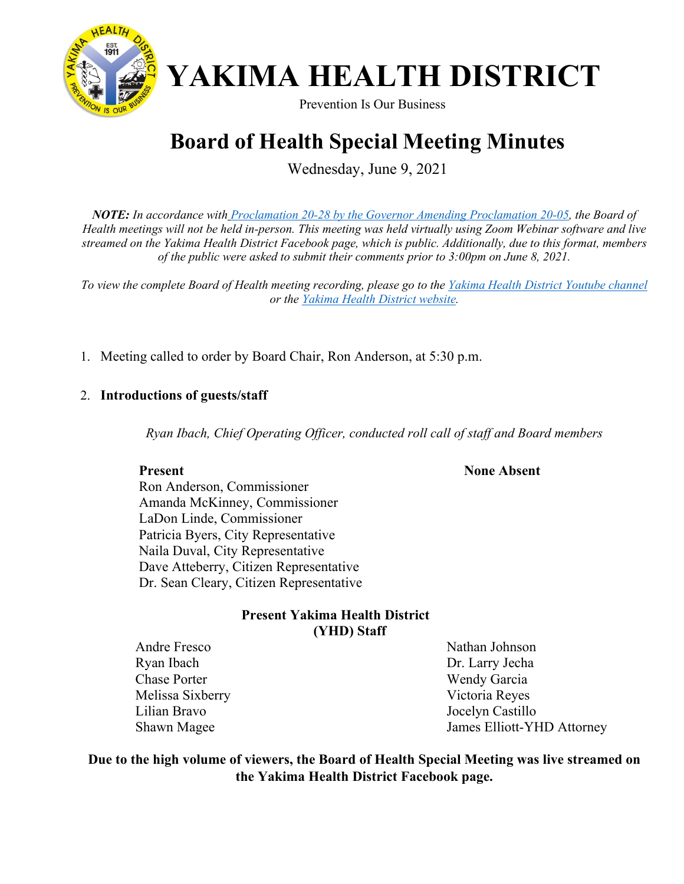

Prevention Is Our Business

### **Board of Health Special Meeting Minutes**

Wednesday, June 9, 2021

*NOTE: In accordance with [Proclamation 20-28 by the Governor Amending Proclamation 20-05,](https://www.governor.wa.gov/sites/default/files/proclamations/proc_20-28.13.pdf?utm_medium=email&utm_source=govdelivery) the Board of Health meetings will not be held in-person. This meeting was held virtually using Zoom Webinar software and live streamed on the Yakima Health District Facebook page, which is public. Additionally, due to this format, members of the public were asked to submit their comments prior to 3:00pm on June 8, 2021.* 

*To view the complete Board of Health meeting recording, please go to the [Yakima Health District Youtube channel](https://www.youtube.com/watch?v=kU_szzw_KiQ)  or the [Yakima Health District website.](https://www.yakimacounty.us/1195/Board-of-Health)* 

1. Meeting called to order by Board Chair, Ron Anderson, at 5:30 p.m.

#### 2. **Introductions of guests/staff**

*Ryan Ibach, Chief Operating Officer, conducted roll call of staff and Board members* 

 **None Absent**

**Present** Ron Anderson, Commissioner Amanda McKinney, Commissioner LaDon Linde, Commissioner Patricia Byers, City Representative Naila Duval, City Representative Dave Atteberry, Citizen Representative Dr. Sean Cleary, Citizen Representative

#### **Present Yakima Health District (YHD) Staff**

 Andre Fresco Ryan Ibach Chase Porter Melissa Sixberry Lilian Bravo Shawn Magee

Nathan Johnson Dr. Larry Jecha Wendy Garcia Victoria Reyes Jocelyn Castillo James Elliott-YHD Attorney

**Due to the high volume of viewers, the Board of Health Special Meeting was live streamed on the Yakima Health District Facebook page.**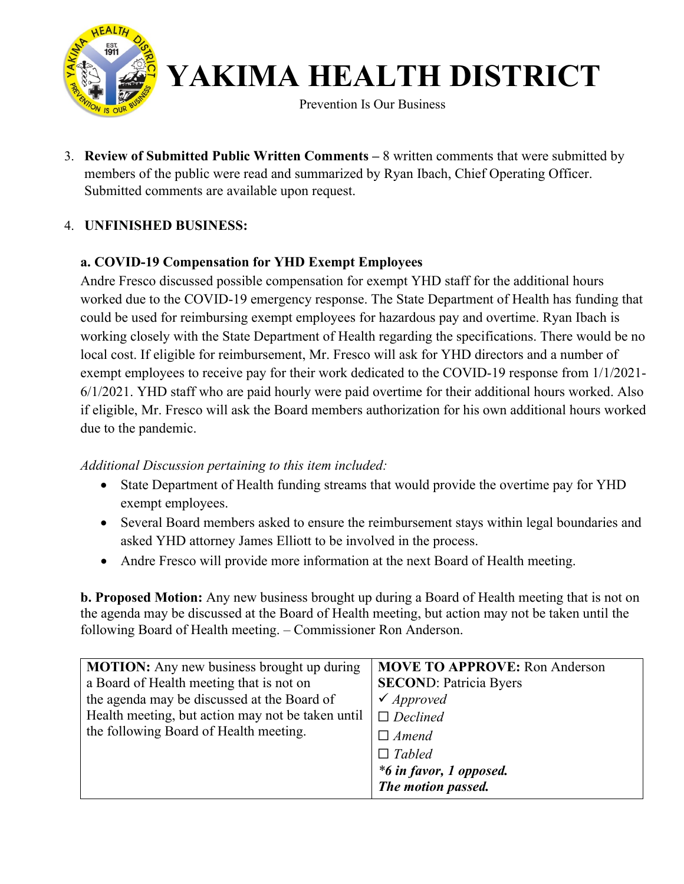

Prevention Is Our Business

3. **Review of Submitted Public Written Comments –** 8 written comments that were submitted by members of the public were read and summarized by Ryan Ibach, Chief Operating Officer. Submitted comments are available upon request.

#### 4. **UNFINISHED BUSINESS:**

#### **a. COVID-19 Compensation for YHD Exempt Employees**

Andre Fresco discussed possible compensation for exempt YHD staff for the additional hours worked due to the COVID-19 emergency response. The State Department of Health has funding that could be used for reimbursing exempt employees for hazardous pay and overtime. Ryan Ibach is working closely with the State Department of Health regarding the specifications. There would be no local cost. If eligible for reimbursement, Mr. Fresco will ask for YHD directors and a number of exempt employees to receive pay for their work dedicated to the COVID-19 response from 1/1/2021- 6/1/2021. YHD staff who are paid hourly were paid overtime for their additional hours worked. Also if eligible, Mr. Fresco will ask the Board members authorization for his own additional hours worked due to the pandemic.

#### *Additional Discussion pertaining to this item included:*

- State Department of Health funding streams that would provide the overtime pay for YHD exempt employees.
- Several Board members asked to ensure the reimbursement stays within legal boundaries and asked YHD attorney James Elliott to be involved in the process.
- Andre Fresco will provide more information at the next Board of Health meeting.

**b. Proposed Motion:** Any new business brought up during a Board of Health meeting that is not on the agenda may be discussed at the Board of Health meeting, but action may not be taken until the following Board of Health meeting. – Commissioner Ron Anderson.

| <b>MOTION:</b> Any new business brought up during | <b>MOVE TO APPROVE: Ron Anderson</b> |
|---------------------------------------------------|--------------------------------------|
| a Board of Health meeting that is not on          | <b>SECOND: Patricia Byers</b>        |
| the agenda may be discussed at the Board of       | $\checkmark$ Approved                |
| Health meeting, but action may not be taken until | $\Box$ Declined                      |
| the following Board of Health meeting.            | $\Box$ Amend                         |
|                                                   | $\Box$ Tabled                        |
|                                                   | *6 in favor, 1 opposed.              |
|                                                   | The motion passed.                   |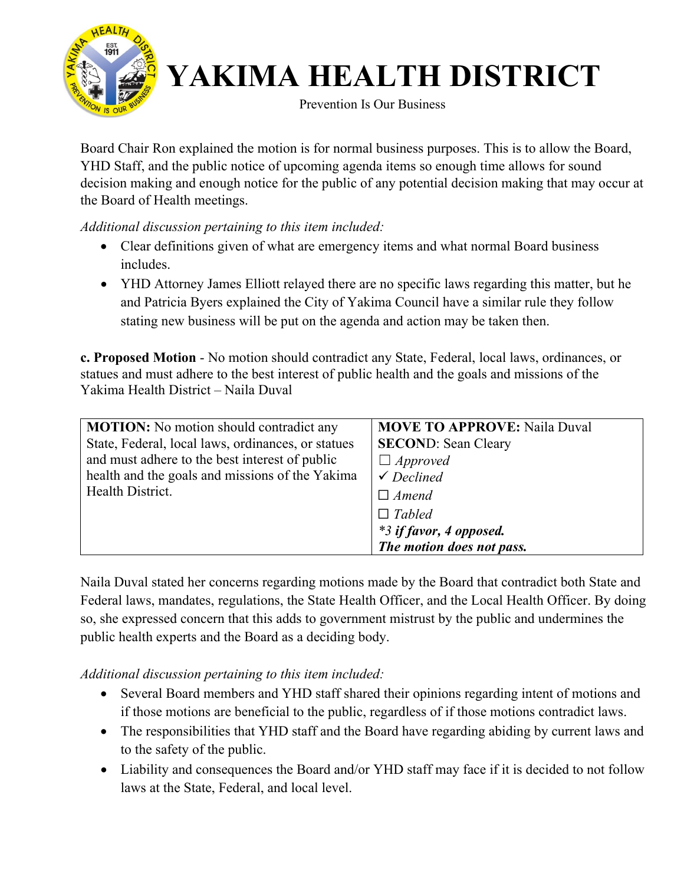

Prevention Is Our Business

Board Chair Ron explained the motion is for normal business purposes. This is to allow the Board, YHD Staff, and the public notice of upcoming agenda items so enough time allows for sound decision making and enough notice for the public of any potential decision making that may occur at the Board of Health meetings.

*Additional discussion pertaining to this item included:* 

- Clear definitions given of what are emergency items and what normal Board business includes.
- YHD Attorney James Elliott relayed there are no specific laws regarding this matter, but he and Patricia Byers explained the City of Yakima Council have a similar rule they follow stating new business will be put on the agenda and action may be taken then.

**c. Proposed Motion** - No motion should contradict any State, Federal, local laws, ordinances, or statues and must adhere to the best interest of public health and the goals and missions of the Yakima Health District – Naila Duval

| <b>MOTION:</b> No motion should contradict any     | <b>MOVE TO APPROVE: Naila Duval</b> |
|----------------------------------------------------|-------------------------------------|
| State, Federal, local laws, ordinances, or statues | <b>SECOND: Sean Cleary</b>          |
| and must adhere to the best interest of public     | $\Box$ Approved                     |
| health and the goals and missions of the Yakima    | $\checkmark$ Declined               |
| Health District.                                   | $\Box$ Amend                        |
|                                                    | $\Box$ Tabled                       |
|                                                    | *3 if favor, 4 opposed.             |
|                                                    | The motion does not pass.           |

Naila Duval stated her concerns regarding motions made by the Board that contradict both State and Federal laws, mandates, regulations, the State Health Officer, and the Local Health Officer. By doing so, she expressed concern that this adds to government mistrust by the public and undermines the public health experts and the Board as a deciding body.

*Additional discussion pertaining to this item included:* 

- Several Board members and YHD staff shared their opinions regarding intent of motions and if those motions are beneficial to the public, regardless of if those motions contradict laws.
- The responsibilities that YHD staff and the Board have regarding abiding by current laws and to the safety of the public.
- Liability and consequences the Board and/or YHD staff may face if it is decided to not follow laws at the State, Federal, and local level.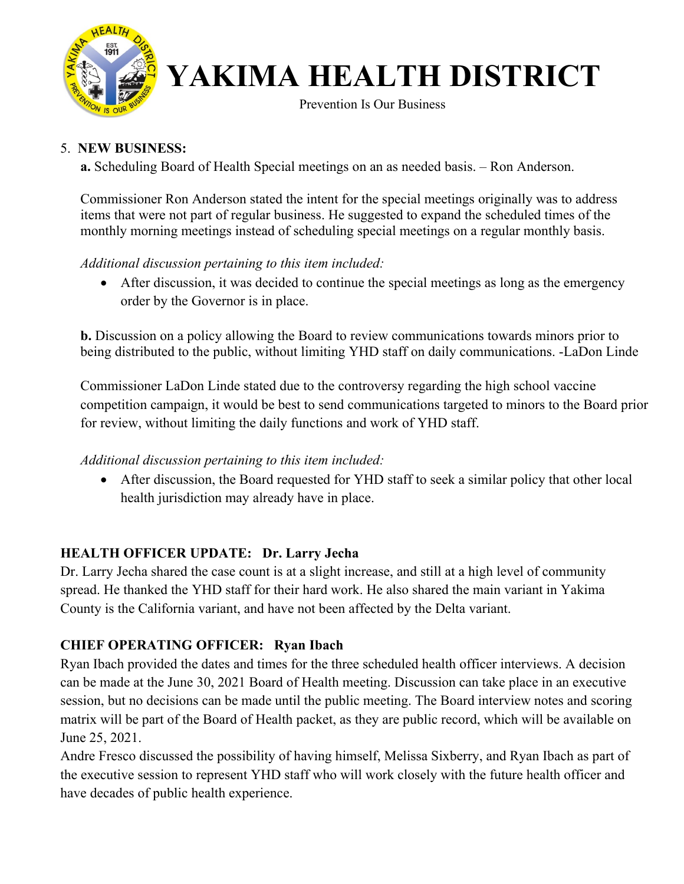

Prevention Is Our Business

#### 5. **NEW BUSINESS:**

**a.** Scheduling Board of Health Special meetings on an as needed basis. – Ron Anderson.

Commissioner Ron Anderson stated the intent for the special meetings originally was to address items that were not part of regular business. He suggested to expand the scheduled times of the monthly morning meetings instead of scheduling special meetings on a regular monthly basis.

#### *Additional discussion pertaining to this item included:*

• After discussion, it was decided to continue the special meetings as long as the emergency order by the Governor is in place.

**b.** Discussion on a policy allowing the Board to review communications towards minors prior to being distributed to the public, without limiting YHD staff on daily communications. -LaDon Linde

Commissioner LaDon Linde stated due to the controversy regarding the high school vaccine competition campaign, it would be best to send communications targeted to minors to the Board prior for review, without limiting the daily functions and work of YHD staff.

#### *Additional discussion pertaining to this item included:*

• After discussion, the Board requested for YHD staff to seek a similar policy that other local health jurisdiction may already have in place.

#### **HEALTH OFFICER UPDATE: Dr. Larry Jecha**

Dr. Larry Jecha shared the case count is at a slight increase, and still at a high level of community spread. He thanked the YHD staff for their hard work. He also shared the main variant in Yakima County is the California variant, and have not been affected by the Delta variant.

#### **CHIEF OPERATING OFFICER: Ryan Ibach**

Ryan Ibach provided the dates and times for the three scheduled health officer interviews. A decision can be made at the June 30, 2021 Board of Health meeting. Discussion can take place in an executive session, but no decisions can be made until the public meeting. The Board interview notes and scoring matrix will be part of the Board of Health packet, as they are public record, which will be available on June 25, 2021.

Andre Fresco discussed the possibility of having himself, Melissa Sixberry, and Ryan Ibach as part of the executive session to represent YHD staff who will work closely with the future health officer and have decades of public health experience.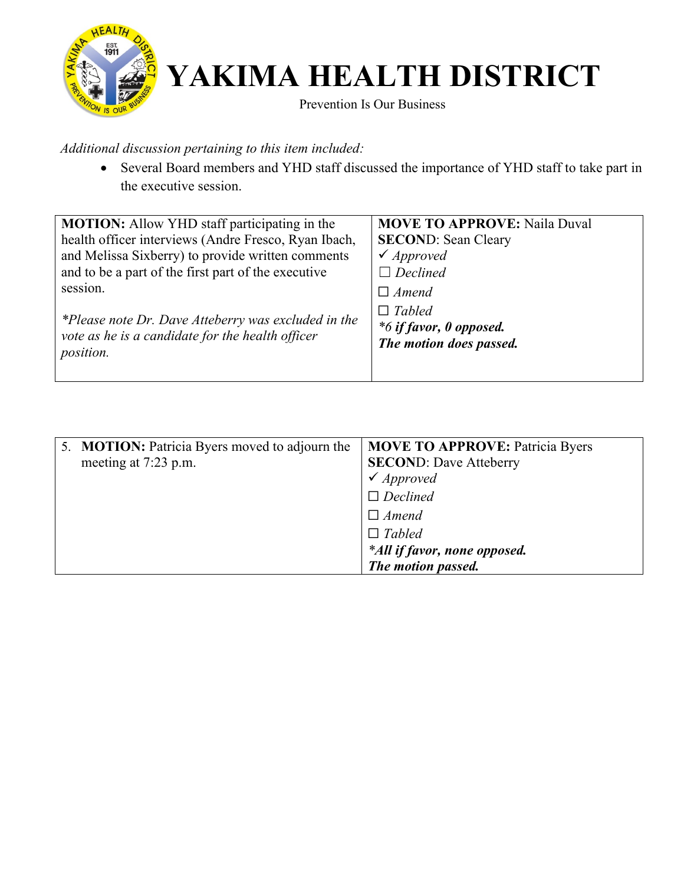

Prevention Is Our Business

*Additional discussion pertaining to this item included:*

• Several Board members and YHD staff discussed the importance of YHD staff to take part in the executive session.

| <b>MOTION:</b> Allow YHD staff participating in the                                                     | <b>MOVE TO APPROVE: Naila Duval</b>      |
|---------------------------------------------------------------------------------------------------------|------------------------------------------|
| health officer interviews (Andre Fresco, Ryan Ibach,                                                    | <b>SECOND: Sean Cleary</b>               |
| and Melissa Sixberry) to provide written comments                                                       | $\checkmark$ Approved                    |
| and to be a part of the first part of the executive                                                     | $\Box$ Declined                          |
| session.                                                                                                | $\Box$ Amend                             |
| *Please note Dr. Dave Atteberry was excluded in the<br>vote as he is a candidate for the health officer | $\Box$ Tabled<br>*6 if favor, 0 opposed. |
| position.                                                                                               | The motion does passed.                  |

| 5. <b>MOTION:</b> Patricia Byers moved to adjourn the<br>meeting at 7:23 p.m. | <b>MOVE TO APPROVE: Patricia Byers</b><br><b>SECOND: Dave Atteberry</b><br>$\checkmark$ Approved |
|-------------------------------------------------------------------------------|--------------------------------------------------------------------------------------------------|
|                                                                               | $\Box$ Declined<br>$\Box$ Amend                                                                  |
|                                                                               | $\Box$ Tabled<br>*All if favor, none opposed.                                                    |
|                                                                               | The motion passed.                                                                               |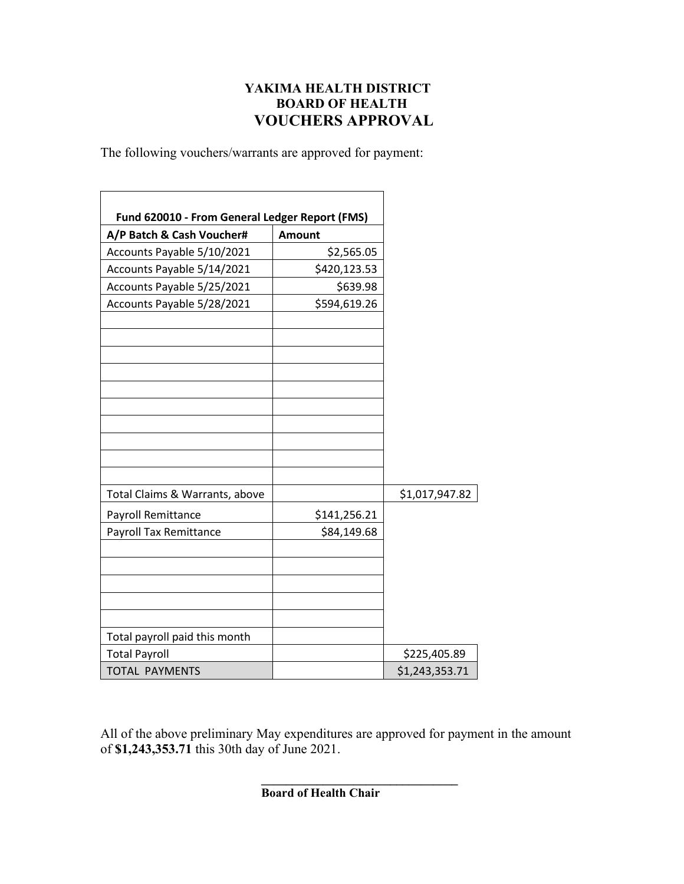#### **YAKIMA HEALTH DISTRICT BOARD OF HEALTH VOUCHERS APPROVAL**

 $\overline{\phantom{0}}$ 

The following vouchers/warrants are approved for payment:

Ē

| Fund 620010 - From General Ledger Report (FMS) |               |                |
|------------------------------------------------|---------------|----------------|
| A/P Batch & Cash Voucher#                      | <b>Amount</b> |                |
| Accounts Payable 5/10/2021                     | \$2,565.05    |                |
| Accounts Payable 5/14/2021                     | \$420,123.53  |                |
| Accounts Payable 5/25/2021                     | \$639.98      |                |
| Accounts Payable 5/28/2021                     | \$594,619.26  |                |
|                                                |               |                |
|                                                |               |                |
|                                                |               |                |
|                                                |               |                |
| Total Claims & Warrants, above                 |               | \$1,017,947.82 |
| Payroll Remittance                             | \$141,256.21  |                |
| Payroll Tax Remittance                         | \$84,149.68   |                |
|                                                |               |                |
|                                                |               |                |
| Total payroll paid this month                  |               |                |
| <b>Total Payroll</b>                           |               | \$225,405.89   |
| <b>TOTAL PAYMENTS</b>                          |               | \$1,243,353.71 |

All of the above preliminary May expenditures are approved for payment in the amount of **\$1,243,353.71** this 30th day of June 2021.

> **\_\_\_\_\_\_\_\_\_\_\_\_\_\_\_\_\_\_\_\_\_\_\_\_\_\_\_\_\_\_\_\_ Board of Health Chair**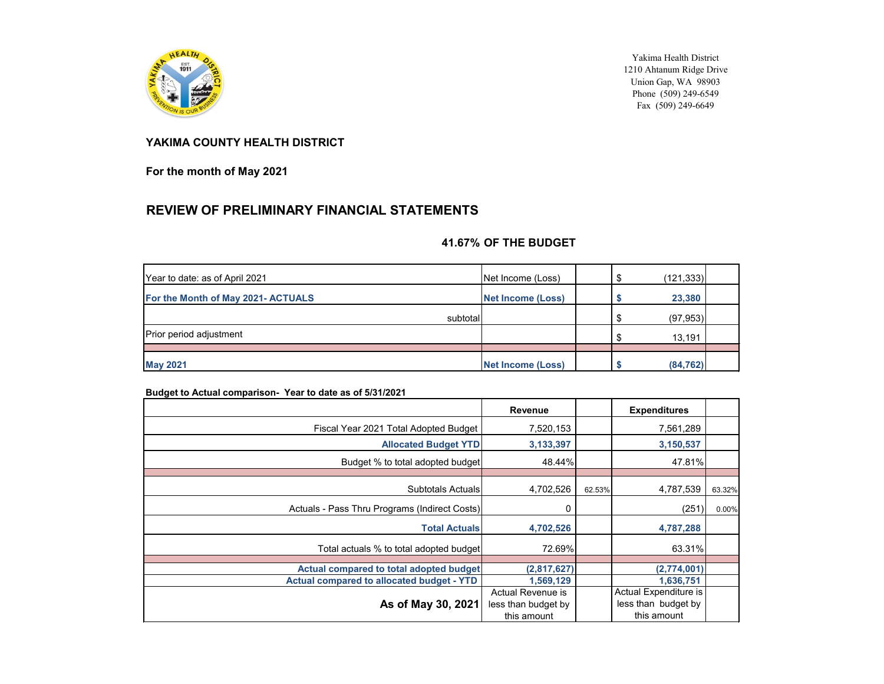

Yakima Health District 1210 Ahtanum Ridge Drive Union Gap, WA 98903 Phone (509) 249-6549 Fax (509) 249-6649

#### **YAKIMA COUNTY HEALTH DISTRICT**

**For the month of May 2021**

#### **REVIEW OF PRELIMINARY FINANCIAL STATEMENTS**

#### **41.67% OF THE BUDGET**

| Year to date: as of April 2021     | Net Income (Loss)        | (121, 333) |
|------------------------------------|--------------------------|------------|
| For the Month of May 2021- ACTUALS | <b>Net Income (Loss)</b> | 23,380     |
| subtotal                           |                          | (97, 953)  |
| <b>Prior period adjustment</b>     |                          | 13,191     |
|                                    |                          |            |
| <b>May 2021</b>                    | <b>Net Income (Loss)</b> | (84, 762)  |

#### **Budget to Actual comparison- Year to date as of 5/31/2021**

|                                                                                             | Revenue                                                 |        | <b>Expenditures</b>                                         |        |
|---------------------------------------------------------------------------------------------|---------------------------------------------------------|--------|-------------------------------------------------------------|--------|
| Fiscal Year 2021 Total Adopted Budget                                                       | 7,520,153                                               |        | 7,561,289                                                   |        |
| <b>Allocated Budget YTD</b>                                                                 | 3, 133, 397                                             |        | 3,150,537                                                   |        |
| Budget % to total adopted budget                                                            | 48.44%                                                  |        | 47.81%                                                      |        |
| Subtotals Actuals                                                                           | 4,702,526                                               | 62.53% | 4,787,539                                                   | 63.32% |
| Actuals - Pass Thru Programs (Indirect Costs)                                               | 0                                                       |        | (251)                                                       | 0.00%  |
| <b>Total Actuals</b>                                                                        | 4,702,526                                               |        | 4,787,288                                                   |        |
| Total actuals % to total adopted budget                                                     | 72.69%                                                  |        | 63.31%                                                      |        |
|                                                                                             |                                                         |        |                                                             |        |
| Actual compared to total adopted budget<br><b>Actual compared to allocated budget - YTD</b> | (2,817,627)<br>1,569,129                                |        | (2,774,001)<br>1,636,751                                    |        |
| As of May 30, 2021                                                                          | Actual Revenue is<br>less than budget by<br>this amount |        | Actual Expenditure is<br>less than budget by<br>this amount |        |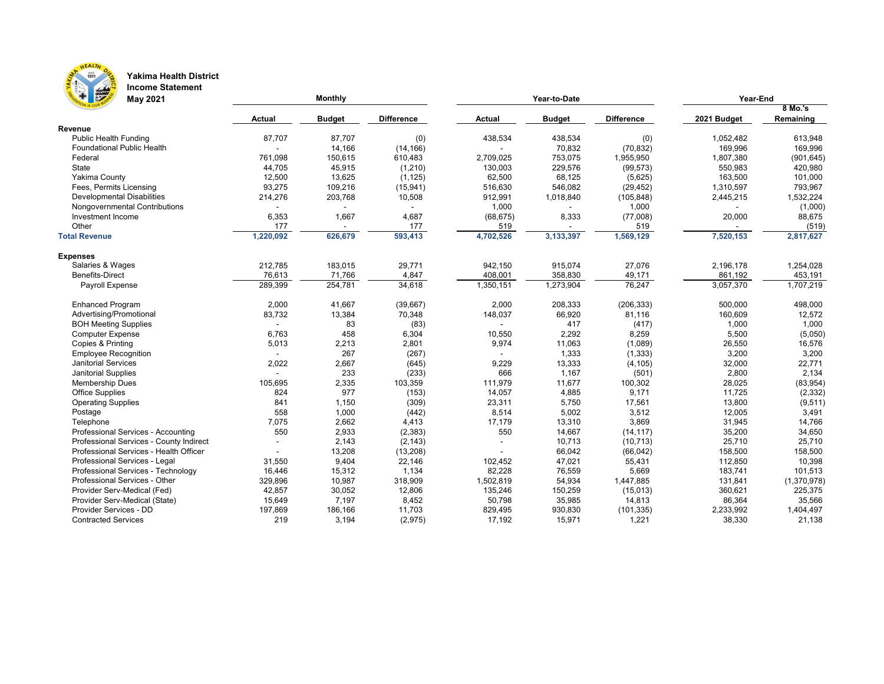

#### **Yakima Health District Income Statement**

| <b>Friday</b><br><b>May 2021</b>        |               | <b>Monthly</b> |                   |               | Year-to-Date  | Year-End          |             |             |  |
|-----------------------------------------|---------------|----------------|-------------------|---------------|---------------|-------------------|-------------|-------------|--|
|                                         |               |                |                   |               |               |                   |             | 8 Mo.'s     |  |
| Revenue                                 | <b>Actual</b> | <b>Budget</b>  | <b>Difference</b> | <b>Actual</b> | <b>Budget</b> | <b>Difference</b> | 2021 Budget | Remaining   |  |
| <b>Public Health Funding</b>            | 87,707        | 87,707         | (0)               | 438,534       | 438,534       | (0)               | 1,052,482   | 613,948     |  |
| <b>Foundational Public Health</b>       |               | 14,166         | (14, 166)         |               | 70,832        | (70, 832)         | 169,996     | 169,996     |  |
| Federal                                 | 761,098       | 150,615        | 610,483           | 2,709,025     | 753,075       | 1,955,950         | 1,807,380   | (901, 645)  |  |
| State                                   | 44,705        | 45,915         | (1,210)           | 130,003       | 229,576       | (99, 573)         | 550,983     | 420,980     |  |
| <b>Yakima County</b>                    | 12,500        | 13,625         | (1, 125)          | 62,500        | 68,125        | (5,625)           | 163,500     | 101,000     |  |
| Fees, Permits Licensing                 | 93,275        | 109,216        | (15, 941)         | 516,630       | 546,082       | (29, 452)         | 1,310,597   | 793,967     |  |
| <b>Developmental Disabilities</b>       | 214,276       | 203,768        | 10,508            | 912,991       | 1,018,840     | (105, 848)        | 2,445,215   | 1,532,224   |  |
| Nongovernmental Contributions           |               |                |                   | 1,000         |               | 1,000             |             | (1,000)     |  |
| Investment Income                       | 6,353         | 1,667          | 4,687             | (68, 675)     | 8,333         | (77,008)          | 20,000      | 88,675      |  |
| Other                                   | 177           |                | 177               | 519           |               | 519               |             | (519)       |  |
| <b>Total Revenue</b>                    | 1,220,092     | 626,679        | 593,413           |               | 3,133,397     |                   | 7,520,153   | 2,817,627   |  |
|                                         |               |                |                   | 4,702,526     |               | 1,569,129         |             |             |  |
| <b>Expenses</b>                         |               |                |                   |               |               |                   |             |             |  |
| Salaries & Wages                        | 212,785       | 183,015        | 29,771            | 942,150       | 915,074       | 27,076            | 2,196,178   | 1,254,028   |  |
| <b>Benefits-Direct</b>                  | 76,613        | 71,766         | 4,847             | 408,001       | 358,830       | 49,171            | 861,192     | 453,191     |  |
| Payroll Expense                         | 289,399       | 254,781        | 34,618            | 1,350,151     | 1,273,904     | 76,247            | 3,057,370   | 1,707,219   |  |
| <b>Enhanced Program</b>                 | 2,000         | 41,667         | (39,667)          | 2,000         | 208,333       | (206, 333)        | 500,000     | 498,000     |  |
| Advertising/Promotional                 | 83,732        | 13,384         | 70,348            | 148,037       | 66,920        | 81,116            | 160,609     | 12,572      |  |
| <b>BOH Meeting Supplies</b>             |               | 83             | (83)              |               | 417           | (417)             | 1,000       | 1,000       |  |
| <b>Computer Expense</b>                 | 6,763         | 458            | 6,304             | 10,550        | 2,292         | 8,259             | 5,500       | (5,050)     |  |
| Copies & Printing                       | 5,013         | 2,213          | 2,801             | 9,974         | 11,063        | (1,089)           | 26,550      | 16,576      |  |
| <b>Employee Recognition</b>             |               | 267            | (267)             |               | 1,333         | (1, 333)          | 3,200       | 3,200       |  |
| <b>Janitorial Services</b>              | 2,022         | 2,667          | (645)             | 9,229         | 13,333        | (4, 105)          | 32,000      | 22,771      |  |
| Janitorial Supplies                     |               | 233            | (233)             | 666           | 1,167         | (501)             | 2,800       | 2,134       |  |
| <b>Membership Dues</b>                  | 105,695       | 2,335          | 103,359           | 111,979       | 11,677        | 100,302           | 28,025      | (83, 954)   |  |
| <b>Office Supplies</b>                  | 824           | 977            | (153)             | 14,057        | 4,885         | 9,171             | 11,725      | (2, 332)    |  |
| <b>Operating Supplies</b>               | 841           | 1,150          | (309)             | 23,311        | 5,750         | 17,561            | 13,800      | (9,511)     |  |
| Postage                                 | 558           | 1,000          | (442)             | 8,514         | 5,002         | 3,512             | 12,005      | 3,491       |  |
| Telephone                               | 7,075         | 2,662          | 4,413             | 17,179        | 13,310        | 3,869             | 31,945      | 14,766      |  |
| Professional Services - Accounting      | 550           | 2,933          | (2, 383)          | 550           | 14,667        | (14, 117)         | 35,200      | 34,650      |  |
| Professional Services - County Indirect |               | 2,143          | (2, 143)          |               | 10,713        | (10, 713)         | 25,710      | 25,710      |  |
| Professional Services - Health Officer  |               | 13,208         | (13,208)          |               | 66,042        | (66, 042)         | 158,500     | 158,500     |  |
| Professional Services - Legal           | 31,550        | 9,404          | 22,146            | 102,452       | 47,021        | 55,431            | 112,850     | 10,398      |  |
| Professional Services - Technology      | 16,446        | 15,312         | 1,134             | 82,228        | 76,559        | 5,669             | 183,741     | 101,513     |  |
| Professional Services - Other           | 329,896       | 10,987         | 318,909           | 1,502,819     | 54,934        | 1,447,885         | 131,841     | (1,370,978) |  |
| Provider Serv-Medical (Fed)             | 42,857        | 30,052         | 12,806            | 135,246       | 150,259       | (15,013)          | 360,621     | 225,375     |  |
| Provider Serv-Medical (State)           | 15,649        | 7,197          | 8,452             | 50,798        | 35,985        | 14,813            | 86,364      | 35,566      |  |
| Provider Services - DD                  | 197,869       | 186,166        | 11,703            | 829,495       | 930,830       | (101, 335)        | 2,233,992   | 1,404,497   |  |
| <b>Contracted Services</b>              | 219           | 3,194          | (2, 975)          | 17,192        | 15,971        | 1,221             | 38,330      | 21,138      |  |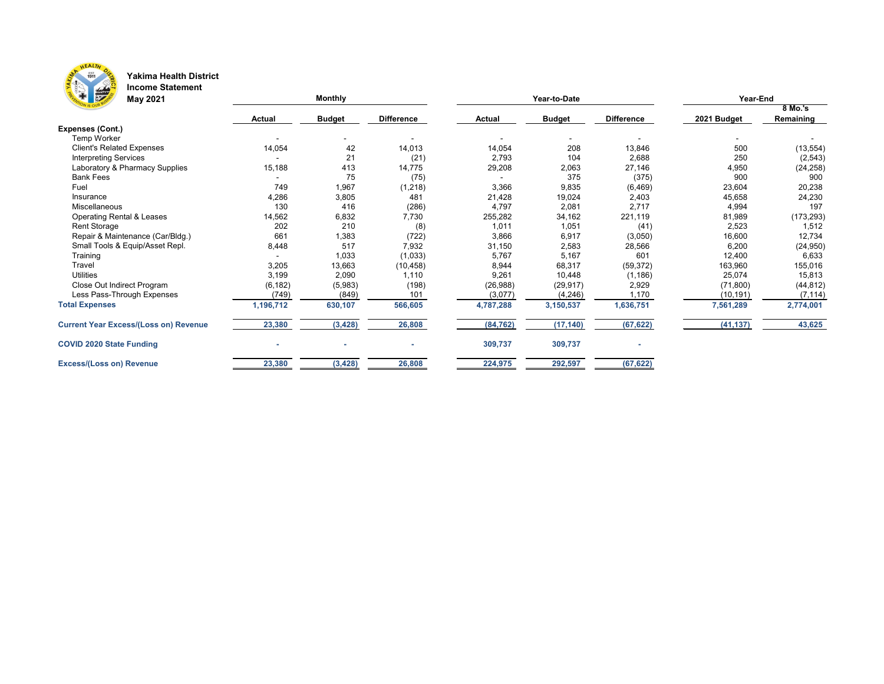

#### **Yakima Health District Income Statement**

| <b>F</b><br><b>May 2021</b>                  |               | <b>Monthly</b> |                              |               | Year-to-Date  |                          | Year-End    |            |  |  |
|----------------------------------------------|---------------|----------------|------------------------------|---------------|---------------|--------------------------|-------------|------------|--|--|
|                                              |               |                |                              |               |               |                          |             | 8 Mo.'s    |  |  |
|                                              | <b>Actual</b> | <b>Budget</b>  | <b>Difference</b>            | <b>Actual</b> | <b>Budget</b> | <b>Difference</b>        | 2021 Budget | Remaining  |  |  |
| <b>Expenses (Cont.)</b>                      |               |                |                              |               |               |                          |             |            |  |  |
| Temp Worker                                  |               | $\blacksquare$ | $\qquad \qquad \blacksquare$ |               |               | $\overline{\phantom{a}}$ | ۰.          |            |  |  |
| <b>Client's Related Expenses</b>             | 14,054        | 42             | 14,013                       | 14,054        | 208           | 13,846                   | 500         | (13, 554)  |  |  |
| <b>Interpreting Services</b>                 |               | 21             | (21)                         | 2,793         | 104           | 2,688                    | 250         | (2, 543)   |  |  |
| Laboratory & Pharmacy Supplies               | 15,188        | 413            | 14,775                       | 29,208        | 2,063         | 27,146                   | 4,950       | (24, 258)  |  |  |
| <b>Bank Fees</b>                             |               | 75             | (75)                         |               | 375           | (375)                    | 900         | 900        |  |  |
| Fuel                                         | 749           | 1,967          | (1, 218)                     | 3,366         | 9,835         | (6, 469)                 | 23,604      | 20,238     |  |  |
| Insurance                                    | 4,286         | 3,805          | 481                          | 21,428        | 19,024        | 2,403                    | 45,658      | 24,230     |  |  |
| Miscellaneous                                | 130           | 416            | (286)                        | 4,797         | 2,081         | 2,717                    | 4,994       | 197        |  |  |
| <b>Operating Rental &amp; Leases</b>         | 14,562        | 6,832          | 7,730                        | 255,282       | 34,162        | 221,119                  | 81,989      | (173, 293) |  |  |
| <b>Rent Storage</b>                          | 202           | 210            | (8)                          | 1,011         | 1,051         | (41)                     | 2,523       | 1,512      |  |  |
| Repair & Maintenance (Car/Bldg.)             | 661           | 1,383          | (722)                        | 3,866         | 6,917         | (3,050)                  | 16,600      | 12,734     |  |  |
| Small Tools & Equip/Asset Repl.              | 8,448         | 517            | 7,932                        | 31,150        | 2,583         | 28,566                   | 6,200       | (24, 950)  |  |  |
| Training                                     |               | 1,033          | (1,033)                      | 5,767         | 5,167         | 601                      | 12,400      | 6,633      |  |  |
| Travel                                       | 3,205         | 13,663         | (10, 458)                    | 8,944         | 68,317        | (59, 372)                | 163,960     | 155,016    |  |  |
| <b>Utilities</b>                             | 3,199         | 2,090          | 1,110                        | 9,261         | 10,448        | (1, 186)                 | 25,074      | 15,813     |  |  |
| Close Out Indirect Program                   | (6, 182)      | (5,983)        | (198)                        | (26, 988)     | (29, 917)     | 2,929                    | (71, 800)   | (44, 812)  |  |  |
| Less Pass-Through Expenses                   | (749)         | (849)          | 101                          | (3,077)       | (4, 246)      | 1,170                    | (10, 191)   | (7, 114)   |  |  |
| <b>Total Expenses</b>                        | 1,196,712     | 630,107        | 566,605                      | 4,787,288     | 3,150,537     | 1,636,751                | 7,561,289   | 2,774,001  |  |  |
| <b>Current Year Excess/(Loss on) Revenue</b> | 23,380        | (3, 428)       | 26,808                       | (84, 762)     | (17, 140)     | (67, 622)                | (41, 137)   | 43,625     |  |  |
| <b>COVID 2020 State Funding</b>              |               |                |                              | 309,737       | 309,737       |                          |             |            |  |  |
| <b>Excess/(Loss on) Revenue</b>              | 23,380        | (3, 428)       | 26,808                       | 224,975       | 292,597       | (67, 622)                |             |            |  |  |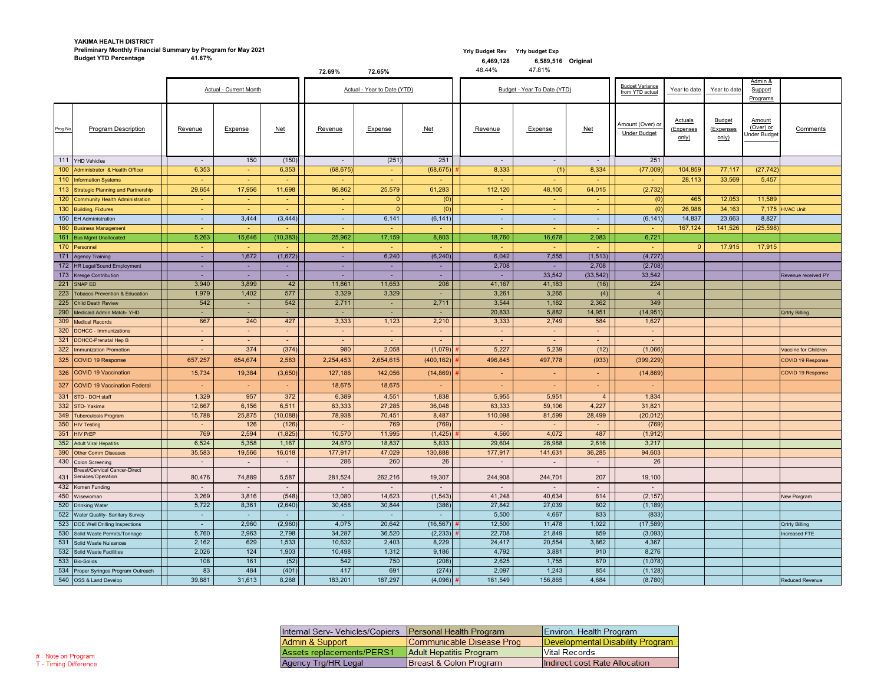#### **YAKIMA HEALTH DISTRICT Preliminary Monthly Financial Summary by Program for May 2021 Budget YTD Percentage**

#### **Yrly Budget Rev Yrly budget Exp 6,589,516 Original** 47.81%

 **6,469,128** 48.44%

|                                                                |                 |                        |           | 72.69%                   | 72.65%                      |                 | 48.44%                   | 47.81%                      |                |                                           |                               |                                            |                                            |                       |
|----------------------------------------------------------------|-----------------|------------------------|-----------|--------------------------|-----------------------------|-----------------|--------------------------|-----------------------------|----------------|-------------------------------------------|-------------------------------|--------------------------------------------|--------------------------------------------|-----------------------|
|                                                                |                 | Actual - Current Month |           |                          | Actual - Year to Date (YTD) |                 |                          | Budget - Year To Date (YTD) |                | <b>Budget Variance</b><br>from YTD actual | Year to date                  | Year to date                               | Admin &<br>Support<br>Programs             |                       |
| <b>Program Description</b><br>Prog No.                         | Revenue         | Expense                | Net       | Revenue                  | Expense                     | <b>Net</b>      | Revenue                  | Expense                     | <b>Net</b>     | Amount (Over) or<br><b>Under Budget</b>   | Actuals<br>(Expenses<br>only) | <b>Budget</b><br><u>(Expenses</u><br>only) | <u>Amount</u><br>(Over) or<br>Under Budget | Comments              |
| 111 YHD Vehicles                                               |                 | 150                    | (150)     | $\sim$                   | (251)                       | 251             | $\overline{\phantom{0}}$ |                             | $\blacksquare$ | 251                                       |                               |                                            |                                            |                       |
| 100 Administrator & Health Officer                             | 6,353           | $\sim$                 | 6,353     | (68, 675)                | $\sim$                      | (68, 675)       | 8,333                    | (1)                         | 8,334          | (77,009)                                  | 104,859                       | 77,117                                     | (27, 742)                                  |                       |
| 110 Information Systems                                        | <b>Contract</b> | $\sim$                 | $\sim$    | $\sim$                   | <b>Contract</b>             | <b>Contract</b> | $\sim$                   |                             | ۰.             | $\sim$                                    | 28,113                        | 33,569                                     | 5,457                                      |                       |
| 113 Strategic Planning and Partnership                         | 29,654          | 17,956                 | 11,698    | 86,862                   | 25,579                      | 61,283          | 112,120                  | 48,105                      | 64,015         | (2, 732)                                  |                               |                                            |                                            |                       |
| 120 Community Health Administration                            | $\sim$          | $\sim$                 | $\sim$    | $\sim$                   | 0                           | (0)             | $\sim$                   |                             |                | (0)                                       | 465                           | 12,053                                     | 11,589                                     |                       |
| 130 Building, Fixtures                                         |                 |                        | ۰.        | $\overline{\phantom{a}}$ | $\Omega$                    | (0)             |                          |                             |                | (0)                                       | 26,988                        | 34,163                                     |                                            | $7,175$ HVAC Unit     |
| 150 EH Administration                                          |                 | 3,444                  | (3, 444)  | $\sim$                   | 6,141                       | (6, 141)        | $\sim$                   | $\sim$                      | ٠              | (6, 141)                                  | 14,837                        | 23,663                                     | 8,827                                      |                       |
| 160 Business Management                                        | <b>COL</b>      | $\sim$                 | $\sim$    | $\sim$                   | <b>Contract</b>             | <b>Contract</b> | $\sim$                   |                             | ÷              | <b>Section</b>                            | 167,124                       | 141,526                                    | (25, 598)                                  |                       |
| 161 Bus Mgmt Unallocated                                       | 5,263           | 15,646                 | (10, 383) | 25,962                   | 17,159                      | 8,803           | 18,760                   | 16,678                      | 2,083          | 6,721                                     |                               |                                            |                                            |                       |
| 170 Personnel                                                  |                 | $\sim$                 | ÷         | $\sim$                   |                             |                 | <b>Section</b>           |                             |                |                                           | $\Omega$                      | 17,915                                     | 17,915                                     |                       |
| 171 Agency Training                                            |                 | 1,672                  | (1,672)   |                          | 6,240                       | (6, 240)        | 6,042                    | 7,555                       | (1, 513)       | (4, 727)                                  |                               |                                            |                                            |                       |
| 172 HR Legal/Sound Employment                                  |                 | $\sim$                 | ۰.        | ٠                        | $\sim$                      |                 | 2,708                    |                             | 2,708          | (2,708)                                   |                               |                                            |                                            |                       |
| 173 Kresge Contribution                                        | <b>COL</b>      | $\sim$                 | $\sim$    | ٠                        | $\sim$                      | $\sim$          | $\sim$                   | 33,542                      | (33, 542)      | 33,542                                    |                               |                                            |                                            | Revenue received PY   |
| 221 SNAP ED                                                    | 3,940           | 3,899                  | 42        | 11,861                   | 11,653                      | 208             | 41,167                   | 41,183                      | (16)           | 224                                       |                               |                                            |                                            |                       |
| 223 Tobacco Prevention & Education                             | 1,979           | 1,402                  | 577       | 3,329                    | 3,329                       |                 | 3,261                    | 3,265                       | (4)            | $\overline{4}$                            |                               |                                            |                                            |                       |
| 225 Child Death Review                                         | 542             | $\sim$                 | 542       | 2,711                    | $\sim$ 10 $\,$              | 2,711           | 3,544                    | 1,182                       | 2,362          | 349                                       |                               |                                            |                                            |                       |
| 290 Medicaid Admin Match-YHD                                   |                 |                        |           | $\sim$                   |                             |                 | 20,833                   | 5,882                       | 14,951         | (14, 951)                                 |                               |                                            |                                            | <b>Qrtrly Billing</b> |
| 309 Medical Records                                            | 667             | 240                    | 427       | 3,333                    | 1,123                       | 2,210           | 3,333                    | 2,749                       | 584            | 1,627                                     |                               |                                            |                                            |                       |
| 320 DOHCC - Immunizations                                      |                 | $\sim$                 | ۰.        | ٠                        |                             |                 | $\sim$                   |                             | ۰.             |                                           |                               |                                            |                                            |                       |
| 321 DOHCC-Prenatal Hep B                                       | $\sim$          | $\sim$                 | ۰.        | $\blacksquare$           | $\sim$                      | <b>Contract</b> | $\sim$                   | $\sim$                      | $\blacksquare$ | $\sim$                                    |                               |                                            |                                            |                       |
| 322 Immunization Promotion                                     |                 | 374                    | (374)     | 980                      | 2,058                       | (1,079)         | 5,227                    | 5,239                       | (12)           | (1,066)                                   |                               |                                            |                                            | Vaccine for Children  |
| 325 COVID 19 Response                                          | 657,257         | 654,674                | 2,583     | 2,254,453                | 2,654,615                   | (400, 162)      | 496,845                  | 497,778                     | (933)          | (399, 229)                                |                               |                                            |                                            | COVID 19 Response     |
| 326 COVID 19 Vaccination                                       | 15,734          | 19,384                 | (3,650)   | 127,186                  | 142,056                     | (14, 869)       | <b>Contract</b>          | $\sim$                      | ۰.             | (14, 869)                                 |                               |                                            |                                            | COVID 19 Response     |
| 327 COVID 19 Vaccination Federal                               |                 | $\sim$                 | $\sim$    | 18,675                   | 18,675                      |                 | $\sim$                   |                             | $\sim$         | $\sim$                                    |                               |                                            |                                            |                       |
| 331 STD - DOH staff                                            | 1,329           | 957                    | 372       | 6,389                    | 4,551                       | 1,838           | 5,955                    | 5,951                       | $\overline{4}$ | 1,834                                     |                               |                                            |                                            |                       |
| 332 STD-Yakima                                                 | 12,667          | 6,156                  | 6,511     | 63,333                   | 27,285                      | 36,048          | 63,333                   | 59,106                      | 4,227          | 31,821                                    |                               |                                            |                                            |                       |
| 349 Tuberculosis Program                                       | 15,788          | 25,875                 | (10,088)  | 78,938                   | 70,451                      | 8,487           | 110,098                  | 81,599                      | 28,499         | (20, 012)                                 |                               |                                            |                                            |                       |
| 350 HIV Testing                                                |                 | 126                    | (126)     |                          | 769                         | (769)           |                          |                             |                | (769)                                     |                               |                                            |                                            |                       |
| 351 HIV PrEP                                                   | 769             | 2,594                  | (1,825)   | 10,570                   | 11,995                      | (1, 425)        | 4,560                    | 4,072                       | 487            | (1, 912)                                  |                               |                                            |                                            |                       |
| 352 Adult Viral Hepatitis                                      | 6,524           | 5,358                  | 1,167     | 24,670                   | 18,837                      | 5,833           | 29,604                   | 26,988                      | 2,616          | 3,217                                     |                               |                                            |                                            |                       |
| 390 Other Comm Diseases                                        | 35,583          | 19,566                 | 16,018    | 177,917                  | 47,029                      | 130,888         | 177,917                  | 141,631                     | 36,285         | 94,603                                    |                               |                                            |                                            |                       |
| 430 Colon Screening                                            | $\sim$          | $\sim$                 | $\sim$    | 286                      | 260                         | 26              | $\overline{\phantom{a}}$ |                             | $\blacksquare$ | 26                                        |                               |                                            |                                            |                       |
| <b>Breast/Cervical Cancer-Direct</b><br>431 Services/Operation | 80,476          | 74,889                 | 5,587     | 281,524                  | 262,216                     | 19,307          | 244,908                  | 244,701                     | 207            | 19,100                                    |                               |                                            |                                            |                       |
| 432 Komen Funding                                              | $\sim$          | $\sim$                 | $\sim$ .  | $\sim$                   | $\sim$                      |                 | $\sim$                   |                             | $\blacksquare$ |                                           |                               |                                            |                                            |                       |
| 450 Wisewoman                                                  | 3,269           | 3,816                  | (548)     | 13,080                   | 14,623                      | (1, 543)        | 41,248                   | 40,634                      | 614            | (2, 157)                                  |                               |                                            |                                            | New Porgram           |
| 520 Drinking Water                                             | 5,722           | 8,361                  | (2,640)   | 30,458                   | 30,844                      | (386)           | 27,842                   | 27,039                      | 802            | (1, 189)                                  |                               |                                            |                                            |                       |
| 522 Water Quality- Sanitary Survey                             | $\sim$ .        |                        | $\sim$    | $\sim$                   |                             |                 | 5,500                    | 4,667                       | 833            | (833)                                     |                               |                                            |                                            |                       |
| 523 DOE Well Drilling Inspections                              |                 | 2,960                  | (2,960)   | 4,075                    | 20,642                      | (16, 567)       | 12,500                   | 11,478                      | 1,022          | (17, 589)                                 |                               |                                            |                                            | <b>Qrtrly Billing</b> |
| 530 Solid Waste Permits/Tonnage                                | 5,760           | 2,963                  | 2,798     | 34,287                   | 36,520                      | (2,233)         | 22,708                   | 21,849                      | 859            | (3,093)                                   |                               |                                            |                                            | Increased FTE         |
| 531 Solid Waste Nuisances                                      | 2,162           | 629                    | 1,533     | 10,632                   | 2,403                       | 8,229           | 24,417                   | 20,554                      | 3,862          | 4,367                                     |                               |                                            |                                            |                       |
| 532 Solid Waste Facilities                                     | 2,026           | 124                    | 1,903     | 10,498                   | 1,312                       | 9,186           | 4,792                    | 3,881                       | 910            | 8,276                                     |                               |                                            |                                            |                       |
| 533 Bio-Solids                                                 | 108             | 161                    | (52)      | 542                      | 750                         | (208)           | 2,625                    | 1,755                       | 870            | (1,078)                                   |                               |                                            |                                            |                       |
| 534 Proper Syringes Program Outreach                           | 83              | 484                    | (401)     | 417                      | 691                         | (274)           | 2,097                    | 1,243                       | 854            | (1, 128)                                  |                               |                                            |                                            |                       |
| 540 OSS & Land Develop                                         | 39,881          | 31,613                 | 8,268     | 183,201                  | 187,297                     | $(4,096)$ #     | 161,549                  | 156,865                     | 4,684          | (8,780)                                   |                               |                                            |                                            | Reduced Revenue       |

| Internal Serv- Vehicles/Copiers | <b>Personal Health Program</b> | Environ. Health Program          |
|---------------------------------|--------------------------------|----------------------------------|
| Admin & Support                 | Communicable Disease Prog      | Developmental Disability Program |
| Assets replacements/PERS1       | Adult Hepatitis Program        | <b>Vital Records</b>             |
| Agency Trg/HR Legal             | Breast & Colon Program         | Indirect cost Rate Allocation    |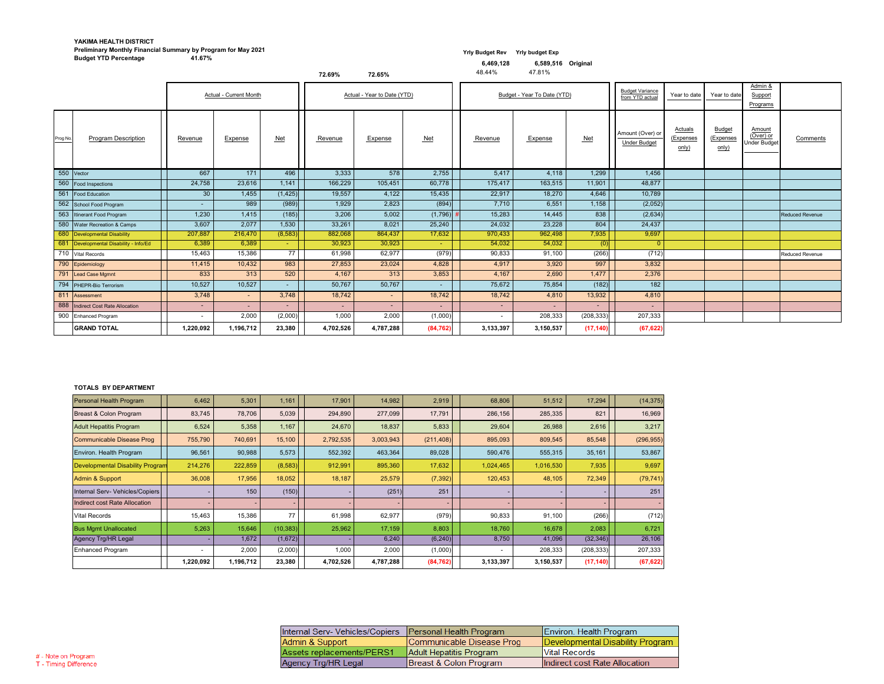### **Yrly Budget Rev Yrly budget Exp**

#### **YAKIMA HEALTH DISTRICT Preliminary Monthly Financial Summary by Program for May 2021 Budget YTD Percentage**

48.44%

#### **6,589,516 Original**

47.81%

|            |                                        |                 |                        |            | 72.69%         | 72.65%                      |             | 48.44%    | 47.81%                      |            |                                           |                               |                                     |                                            |                        |
|------------|----------------------------------------|-----------------|------------------------|------------|----------------|-----------------------------|-------------|-----------|-----------------------------|------------|-------------------------------------------|-------------------------------|-------------------------------------|--------------------------------------------|------------------------|
|            |                                        |                 | Actual - Current Month |            |                | Actual - Year to Date (YTD) |             |           | Budget - Year To Date (YTD) |            | <b>Budget Variance</b><br>from YTD actual | Year to date                  | Year to date                        | Admin &<br>Support<br>Programs             |                        |
| Prog No.   | <b>Program Description</b>             | Revenue         | Expense                | <u>Net</u> | <b>Revenue</b> | Expense                     | Net         | Revenue   | Expense                     | $Net$      | Amount (Over) or<br><b>Under Budget</b>   | Actuals<br>(Expenses<br>only) | <b>Budget</b><br>(Expenses<br>only) | Amount<br>(Over) or<br><b>Under Budget</b> | Comments               |
| 550 Vector |                                        | 667             | 171                    | 496        | 3,333          | 578                         | 2,755       | 5,417     | 4,118                       | 1,299      | 1,456                                     |                               |                                     |                                            |                        |
|            | 560 Food Inspections                   | 24,758          | 23,616                 | 1,141      | 166,229        | 105,451                     | 60,778      | 175,417   | 163,515                     | 11,901     | 48,877                                    |                               |                                     |                                            |                        |
|            | 561   Food Education                   | 30              | 1,455                  | (1, 425)   | 19,557         | 4,122                       | 15,435      | 22,917    | 18,270                      | 4,646      | 10,789                                    |                               |                                     |                                            |                        |
|            | 562 School Food Program                | $\sim$ 10 $\,$  | 989                    | (989)      | 1,929          | 2,823                       | (894)       | 7,710     | 6,551                       | 1,158      | (2,052)                                   |                               |                                     |                                            |                        |
|            | 563 Itinerant Food Program             | 1,230           | 1,415                  | (185)      | 3,206          | 5,002                       | $(1,796)$ : | 15,283    | 14,445                      | 838        | (2,634)                                   |                               |                                     |                                            | <b>Reduced Revenue</b> |
|            | 580 Water Recreation & Camps           | 3,607           | 2,077                  | 1,530      | 33,261         | 8,021                       | 25,240      | 24,032    | 23,228                      | 804        | 24,437                                    |                               |                                     |                                            |                        |
|            | 680 Developmental Disability           | 207,887         | 216,470                | (8, 583)   | 882,068        | 864,437                     | 17,632      | 970,433   | 962,498                     | 7,935      | 9,697                                     |                               |                                     |                                            |                        |
|            | 681 Developmental Disability - Info/Ed | 6,389           | 6,389                  | $\sim 10$  | 30,923         | 30,923                      |             | 54,032    | 54,032                      | (0)        |                                           |                               |                                     |                                            |                        |
|            | 710 Vital Records                      | 15,463          | 15,386                 | 77         | 61,998         | 62,977                      | (979)       | 90,833    | 91,100                      | (266)      | (712)                                     |                               |                                     |                                            | <b>Reduced Revenue</b> |
|            | 790 Epidemiology                       | 11,415          | 10,432                 | 983        | 27,853         | 23,024                      | 4,828       | 4,917     | 3,920                       | 997        | 3,832                                     |                               |                                     |                                            |                        |
|            | 791 Lead Case Mgmnt                    | 833             | 313                    | 520        | 4,167          | 313                         | 3,853       | 4,167     | 2,690                       | 1,477      | 2,376                                     |                               |                                     |                                            |                        |
|            | 794 PHEPR-Bio Terrorism                | 10,527          | 10,527                 | $\sim$     | 50,767         | 50,767                      |             | 75,672    | 75,854                      | (182)      | 182                                       |                               |                                     |                                            |                        |
|            | 811 Assessment                         | 3,748           | $\sim$                 | 3,748      | 18,742         | $\sim$                      | 18,742      | 18,742    | 4,810                       | 13,932     | 4,810                                     |                               |                                     |                                            |                        |
|            | 888 Indirect Cost Rate Allocation      | $\sim$ 10 $\pm$ |                        |            | $\sim$         | н.                          |             |           |                             |            |                                           |                               |                                     |                                            |                        |
|            | 900 Enhanced Program                   | $\sim$          | 2,000                  | (2,000)    | 1,000          | 2,000                       | (1,000)     | $\sim$    | 208,333                     | (208, 333) | 207,333                                   |                               |                                     |                                            |                        |
|            | <b>GRAND TOTAL</b>                     | 1,220,092       | 1,196,712              | 23,380     | 4,702,526      | 4,787,288                   | (84, 762)   | 3,133,397 | 3,150,537                   | (17, 140)  | (67, 622)                                 |                               |                                     |                                            |                        |

#### **TOTALS BY DEPARTMENT**

| <b>Personal Health Program</b>          | 6,462          | 5,301     | 1,161     | 17,901    | 14,982    | 2,919      | 68,806    | 51,512    | 17,294     | (14, 375)  |
|-----------------------------------------|----------------|-----------|-----------|-----------|-----------|------------|-----------|-----------|------------|------------|
| Breast & Colon Program                  | 83,745         | 78,706    | 5,039     | 294,890   | 277,099   | 17,791     | 286,156   | 285,335   | 821        | 16,969     |
| <b>Adult Hepatitis Program</b>          | 6,524          | 5,358     | 1,167     | 24,670    | 18,837    | 5,833      | 29,604    | 26,988    | 2,616      | 3,217      |
| Communicable Disease Prog               | 755,790        | 740,691   | 15,100    | 2,792,535 | 3,003,943 | (211, 408) | 895,093   | 809,545   | 85,548     | (296, 955) |
| Environ. Health Program                 | 96,561         | 90,988    | 5,573     | 552,392   | 463,364   | 89,028     | 590,476   | 555,315   | 35,161     | 53,867     |
| <b>Developmental Disability Program</b> | 214,276        | 222,859   | (8,583)   | 912,991   | 895,360   | 17,632     | 1,024,465 | 1,016,530 | 7,935      | 9,697      |
| Admin & Support                         | 36,008         | 17,956    | 18,052    | 18,187    | 25,579    | (7, 392)   | 120,453   | 48,105    | 72,349     | (79, 741)  |
| Internal Serv- Vehicles/Copiers         |                | 150       | (150)     |           | (251)     | 251        |           |           |            | 251        |
| Indirect cost Rate Allocation           |                |           |           |           |           |            |           |           |            | $\sim$ 1   |
| <b>Vital Records</b>                    | 15,463         | 15,386    | 77        | 61,998    | 62,977    | (979)      | 90,833    | 91,100    | (266)      | (712)      |
| <b>Bus Mgmt Unallocated</b>             | 5,263          | 15,646    | (10, 383) | 25,962    | 17,159    | 8,803      | 18,760    | 16,678    | 2,083      | 6,721      |
| <b>Agency Trg/HR Legal</b>              |                | 1,672     | (1,672)   |           | 6,240     | (6, 240)   | 8,750     | 41,096    | (32, 346)  | 26,106     |
| <b>Enhanced Program</b>                 | $\blacksquare$ | 2,000     | (2,000)   | 1,000     | 2,000     | (1,000)    | $\sim$    | 208,333   | (208, 333) | 207,333    |
|                                         | 1,220,092      | 1,196,712 | 23,380    | 4,702,526 | 4,787,288 | (84, 762)  | 3,133,397 | 3,150,537 | (17, 140)  | (67, 622)  |

| Internal Serv- Vehicles/Copiers | Personal Health Program   | Environ. Health Program          |
|---------------------------------|---------------------------|----------------------------------|
| Admin & Support                 | Communicable Disease Prog | Developmental Disability Program |
| Assets replacements/PERS1       | Adult Hepatitis Program   | <b>Vital Records</b>             |
| Agency Trg/HR Legal             | Breast & Colon Program    | Indirect cost Rate Allocation    |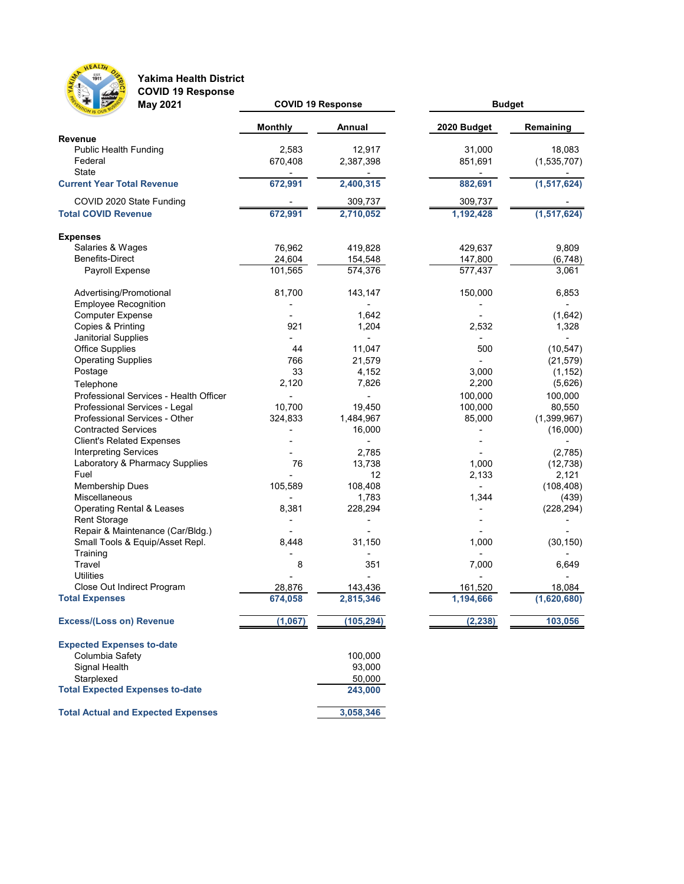

**Yakima Health District COVID 19 Response**

| $\sim$ $\sim$ $\sim$ $\sim$<br><b>May 2021</b> | <b>COVID 19 Response</b> |               | <b>Budget</b> |               |  |  |
|------------------------------------------------|--------------------------|---------------|---------------|---------------|--|--|
|                                                | <b>Monthly</b>           | <b>Annual</b> | 2020 Budget   | Remaining     |  |  |
| <b>Revenue</b>                                 |                          |               |               |               |  |  |
| <b>Public Health Funding</b>                   | 2,583                    | 12,917        | 31,000        | 18,083        |  |  |
| Federal                                        | 670,408                  | 2,387,398     | 851,691       | (1,535,707)   |  |  |
| <b>State</b>                                   |                          |               |               |               |  |  |
| <b>Current Year Total Revenue</b>              | 672,991                  | 2,400,315     | 882,691       | (1, 517, 624) |  |  |
| COVID 2020 State Funding                       |                          | 309,737       | 309,737       |               |  |  |
| <b>Total COVID Revenue</b>                     | 672,991                  | 2,710,052     | 1,192,428     | (1, 517, 624) |  |  |
| <b>Expenses</b>                                |                          |               |               |               |  |  |
| Salaries & Wages                               | 76,962                   | 419,828       | 429,637       | 9,809         |  |  |
| <b>Benefits-Direct</b>                         | 24,604                   | 154,548       | 147,800       | (6, 748)      |  |  |
| Payroll Expense                                | 101,565                  | 574,376       | 577,437       | 3,061         |  |  |
| Advertising/Promotional                        | 81,700                   | 143,147       | 150,000       | 6,853         |  |  |
| <b>Employee Recognition</b>                    |                          |               |               |               |  |  |
| <b>Computer Expense</b>                        |                          | 1,642         |               | (1,642)       |  |  |
| Copies & Printing                              | 921                      | 1,204         | 2,532         | 1,328         |  |  |
|                                                |                          |               |               |               |  |  |
| Janitorial Supplies<br><b>Office Supplies</b>  | 44                       |               |               |               |  |  |
|                                                | 766                      | 11,047        | 500           | (10, 547)     |  |  |
| <b>Operating Supplies</b>                      |                          | 21,579        |               | (21, 579)     |  |  |
| Postage                                        | 33                       | 4,152         | 3,000         | (1, 152)      |  |  |
| Telephone                                      | 2,120                    | 7,826         | 2,200         | (5,626)       |  |  |
| Professional Services - Health Officer         |                          |               | 100,000       | 100,000       |  |  |
| Professional Services - Legal                  | 10,700                   | 19,450        | 100,000       | 80,550        |  |  |
| Professional Services - Other                  | 324,833                  | 1,484,967     | 85,000        | (1,399,967)   |  |  |
| <b>Contracted Services</b>                     |                          | 16,000        |               | (16,000)      |  |  |
| <b>Client's Related Expenses</b>               |                          |               |               |               |  |  |
| <b>Interpreting Services</b>                   |                          | 2,785         |               | (2,785)       |  |  |
| Laboratory & Pharmacy Supplies                 | 76                       | 13,738        | 1,000         | (12, 738)     |  |  |
| Fuel                                           |                          | 12            | 2,133         | 2,121         |  |  |
| <b>Membership Dues</b>                         | 105,589                  | 108,408       |               | (108, 408)    |  |  |
| <b>Miscellaneous</b>                           |                          | 1,783         | 1,344         | (439)         |  |  |
| <b>Operating Rental &amp; Leases</b>           | 8,381                    | 228,294       |               | (228, 294)    |  |  |
| <b>Rent Storage</b>                            |                          |               |               |               |  |  |
| Repair & Maintenance (Car/Bldg.)               |                          |               |               |               |  |  |
| Small Tools & Equip/Asset Repl.                | 8,448                    | 31,150        | 1,000         | (30, 150)     |  |  |
| Training                                       |                          |               |               |               |  |  |
| Travel                                         | 8                        | 351           | 7,000         | 6,649         |  |  |
| <b>Utilities</b>                               |                          |               |               |               |  |  |
| Close Out Indirect Program                     | 28,876                   | 143,436       | 161,520       | 18,084        |  |  |
| <b>Total Expenses</b>                          | 674,058                  | 2,815,346     | 1,194,666     | (1,620,680)   |  |  |
| <b>Excess/(Loss on) Revenue</b>                | (1,067)                  | (105, 294)    | (2, 238)      | 103,056       |  |  |
| <b>Expected Expenses to-date</b>               |                          |               |               |               |  |  |
| Columbia Safety                                |                          | 100,000       |               |               |  |  |
| Signal Health                                  |                          | 93,000        |               |               |  |  |
| Starplexed                                     |                          | 50,000        |               |               |  |  |
| <b>Total Expected Expenses to-date</b>         |                          | 243,000       |               |               |  |  |
| <b>Total Actual and Expected Expenses</b>      |                          | 3,058,346     |               |               |  |  |